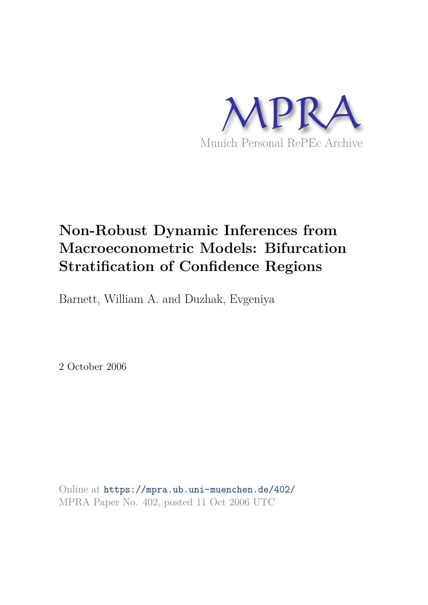

# **Non-Robust Dynamic Inferences from Macroeconometric Models: Bifurcation Stratification of Confidence Regions**

Barnett, William A. and Duzhak, Evgeniya

2 October 2006

Online at https://mpra.ub.uni-muenchen.de/402/ MPRA Paper No. 402, posted 11 Oct 2006 UTC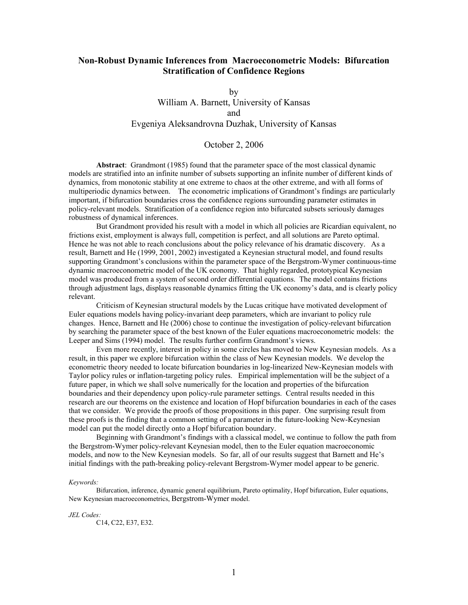# **Non-Robust Dynamic Inferences from Macroeconometric Models: Bifurcation Stratification of Confidence Regions**

by

William A. Barnett, University of Kansas and Evgeniya Aleksandrovna Duzhak, University of Kansas

#### October 2, 2006

**Abstract**: Grandmont (1985) found that the parameter space of the most classical dynamic models are stratified into an infinite number of subsets supporting an infinite number of different kinds of dynamics, from monotonic stability at one extreme to chaos at the other extreme, and with all forms of multiperiodic dynamics between. The econometric implications of Grandmont's findings are particularly important, if bifurcation boundaries cross the confidence regions surrounding parameter estimates in policy-relevant models. Stratification of a confidence region into bifurcated subsets seriously damages robustness of dynamical inferences.

But Grandmont provided his result with a model in which all policies are Ricardian equivalent, no frictions exist, employment is always full, competition is perfect, and all solutions are Pareto optimal. Hence he was not able to reach conclusions about the policy relevance of his dramatic discovery. As a result, Barnett and He (1999, 2001, 2002) investigated a Keynesian structural model, and found results supporting Grandmont's conclusions within the parameter space of the Bergstrom-Wymer continuous-time dynamic macroeconometric model of the UK economy. That highly regarded, prototypical Keynesian model was produced from a system of second order differential equations. The model contains frictions through adjustment lags, displays reasonable dynamics fitting the UK economy's data, and is clearly policy relevant.

Criticism of Keynesian structural models by the Lucas critique have motivated development of Euler equations models having policy-invariant deep parameters, which are invariant to policy rule changes. Hence, Barnett and He (2006) chose to continue the investigation of policy-relevant bifurcation by searching the parameter space of the best known of the Euler equations macroeconometric models: the Leeper and Sims (1994) model. The results further confirm Grandmont's views.

Even more recently, interest in policy in some circles has moved to New Keynesian models. As a result, in this paper we explore bifurcation within the class of New Keynesian models. We develop the econometric theory needed to locate bifurcation boundaries in log-linearized New-Keynesian models with Taylor policy rules or inflation-targeting policy rules. Empirical implementation will be the subject of a future paper, in which we shall solve numerically for the location and properties of the bifurcation boundaries and their dependency upon policy-rule parameter settings. Central results needed in this research are our theorems on the existence and location of Hopf bifurcation boundaries in each of the cases that we consider. We provide the proofs of those propositions in this paper. One surprising result from these proofs is the finding that a common setting of a parameter in the future-looking New-Keynesian model can put the model directly onto a Hopf bifurcation boundary.

Beginning with Grandmont's findings with a classical model, we continue to follow the path from the Bergstrom-Wymer policy-relevant Keynesian model, then to the Euler equation macroeconomic models, and now to the New Keynesian models. So far, all of our results suggest that Barnett and He's initial findings with the path-breaking policy-relevant Bergstrom-Wymer model appear to be generic.

#### *Keywords:*

Bifurcation, inference, dynamic general equilibrium, Pareto optimality, Hopf bifurcation, Euler equations, New Keynesian macroeconometrics, Bergstrom-Wymer model.

*JEL Codes:*

C14, C22, E37, E32.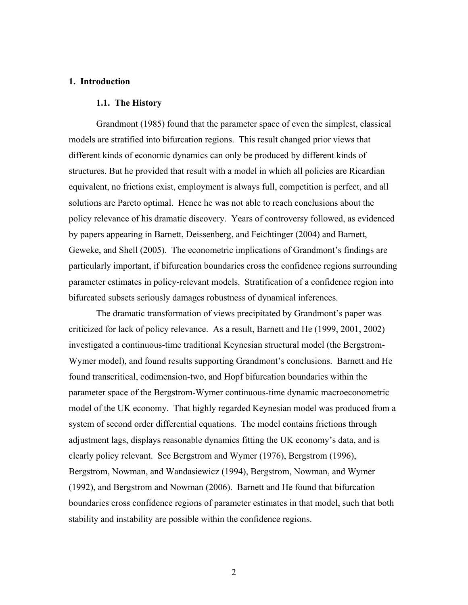# **1. Introduction**

# **1.1. The History**

Grandmont (1985) found that the parameter space of even the simplest, classical models are stratified into bifurcation regions. This result changed prior views that different kinds of economic dynamics can only be produced by different kinds of structures. But he provided that result with a model in which all policies are Ricardian equivalent, no frictions exist, employment is always full, competition is perfect, and all solutions are Pareto optimal. Hence he was not able to reach conclusions about the policy relevance of his dramatic discovery. Years of controversy followed, as evidenced by papers appearing in Barnett, Deissenberg, and Feichtinger (2004) and Barnett, Geweke, and Shell (2005). The econometric implications of Grandmont's findings are particularly important, if bifurcation boundaries cross the confidence regions surrounding parameter estimates in policy-relevant models. Stratification of a confidence region into bifurcated subsets seriously damages robustness of dynamical inferences.

The dramatic transformation of views precipitated by Grandmont's paper was criticized for lack of policy relevance. As a result, Barnett and He (1999, 2001, 2002) investigated a continuous-time traditional Keynesian structural model (the Bergstrom-Wymer model), and found results supporting Grandmont's conclusions. Barnett and He found transcritical, codimension-two, and Hopf bifurcation boundaries within the parameter space of the Bergstrom-Wymer continuous-time dynamic macroeconometric model of the UK economy. That highly regarded Keynesian model was produced from a system of second order differential equations. The model contains frictions through adjustment lags, displays reasonable dynamics fitting the UK economy's data, and is clearly policy relevant. See Bergstrom and Wymer (1976), Bergstrom (1996), Bergstrom, Nowman, and Wandasiewicz (1994), Bergstrom, Nowman, and Wymer (1992), and Bergstrom and Nowman (2006). Barnett and He found that bifurcation boundaries cross confidence regions of parameter estimates in that model, such that both stability and instability are possible within the confidence regions.

2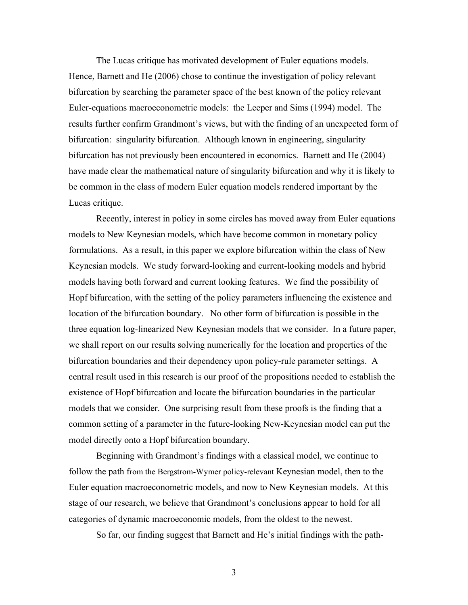The Lucas critique has motivated development of Euler equations models. Hence, Barnett and He (2006) chose to continue the investigation of policy relevant bifurcation by searching the parameter space of the best known of the policy relevant Euler-equations macroeconometric models: the Leeper and Sims (1994) model. The results further confirm Grandmont's views, but with the finding of an unexpected form of bifurcation: singularity bifurcation. Although known in engineering, singularity bifurcation has not previously been encountered in economics. Barnett and He (2004) have made clear the mathematical nature of singularity bifurcation and why it is likely to be common in the class of modern Euler equation models rendered important by the Lucas critique.

Recently, interest in policy in some circles has moved away from Euler equations models to New Keynesian models, which have become common in monetary policy formulations. As a result, in this paper we explore bifurcation within the class of New Keynesian models. We study forward-looking and current-looking models and hybrid models having both forward and current looking features. We find the possibility of Hopf bifurcation, with the setting of the policy parameters influencing the existence and location of the bifurcation boundary. No other form of bifurcation is possible in the three equation log-linearized New Keynesian models that we consider. In a future paper, we shall report on our results solving numerically for the location and properties of the bifurcation boundaries and their dependency upon policy-rule parameter settings. A central result used in this research is our proof of the propositions needed to establish the existence of Hopf bifurcation and locate the bifurcation boundaries in the particular models that we consider. One surprising result from these proofs is the finding that a common setting of a parameter in the future-looking New-Keynesian model can put the model directly onto a Hopf bifurcation boundary.

 Beginning with Grandmont's findings with a classical model, we continue to follow the path from the Bergstrom-Wymer policy-relevant Keynesian model, then to the Euler equation macroeconometric models, and now to New Keynesian models. At this stage of our research, we believe that Grandmont's conclusions appear to hold for all categories of dynamic macroeconomic models, from the oldest to the newest.

So far, our finding suggest that Barnett and He's initial findings with the path-

3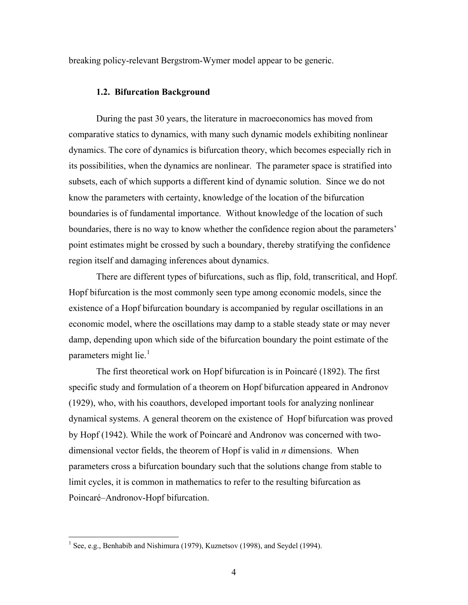breaking policy-relevant Bergstrom-Wymer model appear to be generic.

# **1.2. Bifurcation Background**

During the past 30 years, the literature in macroeconomics has moved from comparative statics to dynamics, with many such dynamic models exhibiting nonlinear dynamics. The core of dynamics is bifurcation theory, which becomes especially rich in its possibilities, when the dynamics are nonlinear. The parameter space is stratified into subsets, each of which supports a different kind of dynamic solution. Since we do not know the parameters with certainty, knowledge of the location of the bifurcation boundaries is of fundamental importance. Without knowledge of the location of such boundaries, there is no way to know whether the confidence region about the parameters' point estimates might be crossed by such a boundary, thereby stratifying the confidence region itself and damaging inferences about dynamics.

There are different types of bifurcations, such as flip, fold, transcritical, and Hopf. Hopf bifurcation is the most commonly seen type among economic models, since the existence of a Hopf bifurcation boundary is accompanied by regular oscillations in an economic model, where the oscillations may damp to a stable steady state or may never damp, depending upon which side of the bifurcation boundary the point estimate of the parameters might lie.<sup>1</sup>

The first theoretical work on Hopf bifurcation is in Poincaré (1892). The first specific study and formulation of a theorem on Hopf bifurcation appeared in Andronov (1929), who, with his coauthors, developed important tools for analyzing nonlinear dynamical systems. A general theorem on the existence of Hopf bifurcation was proved by Hopf (1942). While the work of Poincaré and Andronov was concerned with twodimensional vector fields, the theorem of Hopf is valid in *n* dimensions. When parameters cross a bifurcation boundary such that the solutions change from stable to limit cycles, it is common in mathematics to refer to the resulting bifurcation as Poincaré–Andronov-Hopf bifurcation.

 $\overline{a}$ 

<sup>&</sup>lt;sup>1</sup> See, e.g., Benhabib and Nishimura (1979), Kuznetsov (1998), and Seydel (1994).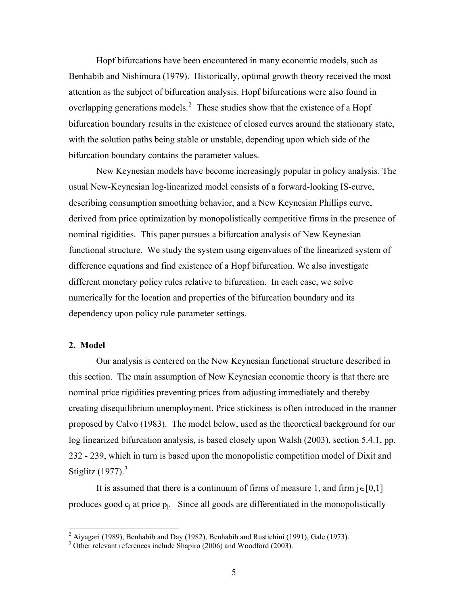Hopf bifurcations have been encountered in many economic models, such as Benhabib and Nishimura (1979). Historically, optimal growth theory received the most attention as the subject of bifurcation analysis. Hopf bifurcations were also found in overlapping generations models.<sup>2</sup> These studies show that the existence of a Hopf bifurcation boundary results in the existence of closed curves around the stationary state, with the solution paths being stable or unstable, depending upon which side of the bifurcation boundary contains the parameter values.

New Keynesian models have become increasingly popular in policy analysis. The usual New-Keynesian log-linearized model consists of a forward-looking IS-curve, describing consumption smoothing behavior, and a New Keynesian Phillips curve, derived from price optimization by monopolistically competitive firms in the presence of nominal rigidities. This paper pursues a bifurcation analysis of New Keynesian functional structure. We study the system using eigenvalues of the linearized system of difference equations and find existence of a Hopf bifurcation. We also investigate different monetary policy rules relative to bifurcation. In each case, we solve numerically for the location and properties of the bifurcation boundary and its dependency upon policy rule parameter settings.

# **2. Model**

<u>.</u>

Our analysis is centered on the New Keynesian functional structure described in this section. The main assumption of New Keynesian economic theory is that there are nominal price rigidities preventing prices from adjusting immediately and thereby creating disequilibrium unemployment. Price stickiness is often introduced in the manner proposed by Calvo (1983). The model below, used as the theoretical background for our log linearized bifurcation analysis, is based closely upon Walsh (2003), section 5.4.1, pp. 232 - 239, which in turn is based upon the monopolistic competition model of Dixit and Stiglitz  $(1977).$ <sup>3</sup>

It is assumed that there is a continuum of firms of measure 1, and firm  $j \in [0,1]$ produces good  $c_i$  at price  $p_i$ . Since all goods are differentiated in the monopolistically

<sup>&</sup>lt;sup>2</sup> Aiyagari (1989), Benhabib and Day (1982), Benhabib and Rustichini (1991), Gale (1973).

<sup>&</sup>lt;sup>3</sup> Other relevant references include Shapiro (2006) and Woodford (2003).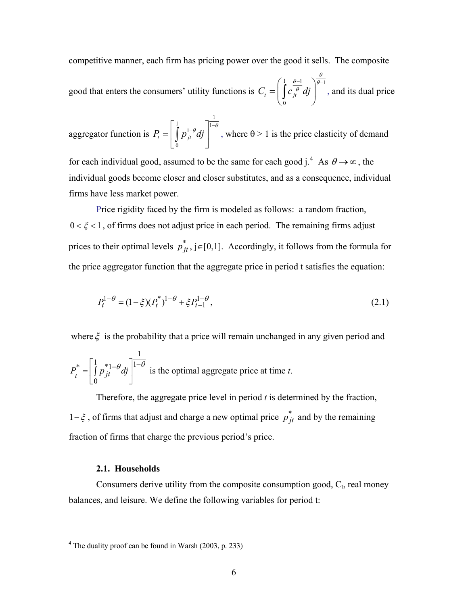competitive manner, each firm has pricing power over the good it sells. The composite

good that enters the consumers' utility functions is  $\frac{1}{\theta}$   $\frac{\theta-1}{\theta-1}$ 0  $C_t = \int c_{jt}^{\theta} df$ θ  $\theta$ -1  $\theta$  $\left(\int_{-\infty}^{1} \frac{\theta-1}{\theta} d\tau\right)^{\theta-1}$  $=\left(\int_{0}^{R} C_{jt}^{i\theta} df\right)$ , and its dual price

aggregator function is 1  $\int_{a}^{1} e^{1-\theta} dx$ 0  $P_t = \left| \int_0^1 p_{jt}^{1-\theta} dj \right|^{1-\theta}$  $=\left[\int_{0}^{1-\theta} d j\right]$ , where  $\theta > 1$  is the price elasticity of demand

for each individual good, assumed to be the same for each good j.<sup>4</sup> As  $\theta \rightarrow \infty$ , the individual goods become closer and closer substitutes, and as a consequence, individual firms have less market power.

Price rigidity faced by the firm is modeled as follows: a random fraction,  $0 < \xi < 1$ , of firms does not adjust price in each period. The remaining firms adjust prices to their optimal levels  $p_{jt}^*$ , j∈[0,1]. Accordingly, it follows from the formula for the price aggregator function that the aggregate price in period t satisfies the equation:

$$
P_t^{1-\theta} = (1 - \xi)(P_t^*)^{1-\theta} + \xi P_{t-1}^{1-\theta},\tag{2.1}
$$

where  $\xi$  is the probability that a price will remain unchanged in any given period and

$$
P_t^* = \left[ \int_0^1 p_{jt}^{*1-\theta} df \right]_0^1 = \int_0^1 t^2 dt
$$
 is the optimal aggregate price at time *t*.

Therefore, the aggregate price level in period *t* is determined by the fraction, 1−ξ, of firms that adjust and charge a new optimal price  $p_{jt}^*$  and by the remaining fraction of firms that charge the previous period's price.

# **2.1. Households**

Consumers derive utility from the composite consumption good,  $C_t$ , real money balances, and leisure. We define the following variables for period t:

 4 The duality proof can be found in Warsh (2003, p. 233)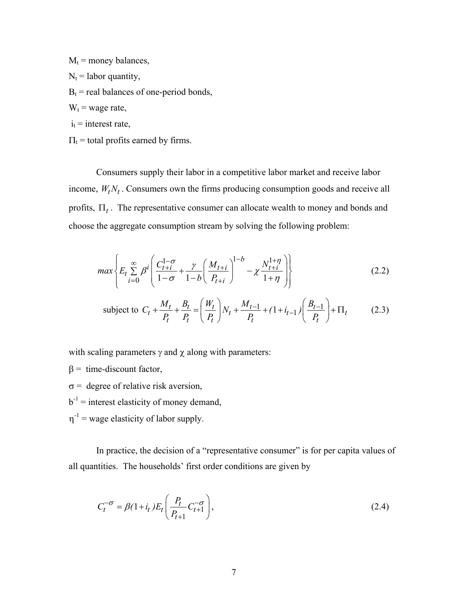$M_t$  = money balances,  $N_t$  = labor quantity,  $B_t$  = real balances of one-period bonds,  $W_t$  = wage rate,  $i_t$  = interest rate,

 $\Pi_t$  = total profits earned by firms.

Consumers supply their labor in a competitive labor market and receive labor income,  $W_t N_t$ . Consumers own the firms producing consumption goods and receive all profits,  $\Pi_t$ . The representative consumer can allocate wealth to money and bonds and choose the aggregate consumption stream by solving the following problem:

$$
\max \left\{ E_t \sum_{i=0}^{\infty} \beta^i \left( \frac{C_{t+i}^{1-\sigma}}{1-\sigma} + \frac{\gamma}{1-b} \left( \frac{M_{t+i}}{P_{t+i}} \right)^{1-b} - \chi \frac{N_{t+i}^{1+\eta}}{1+\eta} \right) \right\}
$$
(2.2)

subject to 
$$
C_t + \frac{M_t}{P_t} + \frac{B_t}{P_t} = \left(\frac{W_t}{P_t}\right)N_t + \frac{M_{t-1}}{P_t} + (1 + i_{t-1})\left(\frac{B_{t-1}}{P_t}\right) + \Pi_t
$$
 (2.3)

with scaling parameters  $\gamma$  and  $\chi$  along with parameters:

- $β = time-discount factor,$
- $\sigma$  = degree of relative risk aversion,
- $b^{-1}$  = interest elasticity of money demand,
- $\eta^{-1}$  = wage elasticity of labor supply.

In practice, the decision of a "representative consumer" is for per capita values of all quantities. The households' first order conditions are given by

$$
C_t^{-\sigma} = \beta(1+i_t)E_t\left(\frac{P_t}{P_{t+1}}C_{t+1}^{-\sigma}\right),\tag{2.4}
$$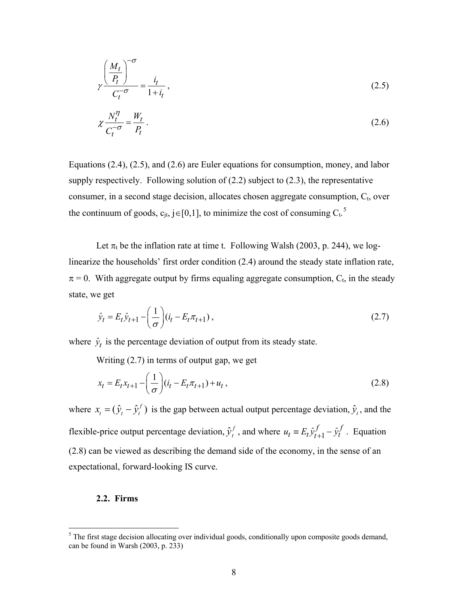$$
\gamma \frac{\left(\frac{M_t}{P_t}\right)^{-\sigma}}{C_t^{-\sigma}} = \frac{i_t}{1+i_t},\tag{2.5}
$$

$$
\chi \frac{N_t^{\eta}}{C_t^{-\sigma}} = \frac{W_t}{P_t} \,. \tag{2.6}
$$

Equations (2.4), (2.5), and (2.6) are Euler equations for consumption, money, and labor supply respectively. Following solution of (2.2) subject to (2.3), the representative consumer, in a second stage decision, allocates chosen aggregate consumption,  $C_t$ , over the continuum of goods,  $c_{jt}$ , j∈[0,1], to minimize the cost of consuming  $C_t$ .<sup>5</sup>

Let  $\pi_t$  be the inflation rate at time t. Following Walsh (2003, p. 244), we loglinearize the households' first order condition (2.4) around the steady state inflation rate,  $\pi = 0$ . With aggregate output by firms equaling aggregate consumption,  $C_t$ , in the steady state, we get

$$
\hat{y}_t = E_t \hat{y}_{t+1} - \left(\frac{1}{\sigma}\right) (i_t - E_t \pi_{t+1}),
$$
\n(2.7)

where  $\hat{y}_t$  is the percentage deviation of output from its steady state.

Writing (2.7) in terms of output gap, we get

$$
x_t = E_t x_{t+1} - \left(\frac{1}{\sigma}\right) (i_t - E_t \pi_{t+1}) + u_t,
$$
\n(2.8)

where  $x_t = (\hat{y}_t - \hat{y}_t^f)$  is the gap between actual output percentage deviation,  $\hat{y}_t$ , and the flexible-price output percentage deviation,  $\hat{y}^j_t$  $\hat{y}_t^f$ , and where  $u_t = E_t \hat{y}_{t+1}^f - \hat{y}_t^f$  $u_t = E_t \hat{y}_{t+1}^J - \hat{y}_t^J$ . Equation (2.8) can be viewed as describing the demand side of the economy, in the sense of an expectational, forward-looking IS curve.

# **2.2. Firms**

<sup>&</sup>lt;sup>5</sup> The first stage decision allocating over individual goods, conditionally upon composite goods demand, can be found in Warsh (2003, p. 233)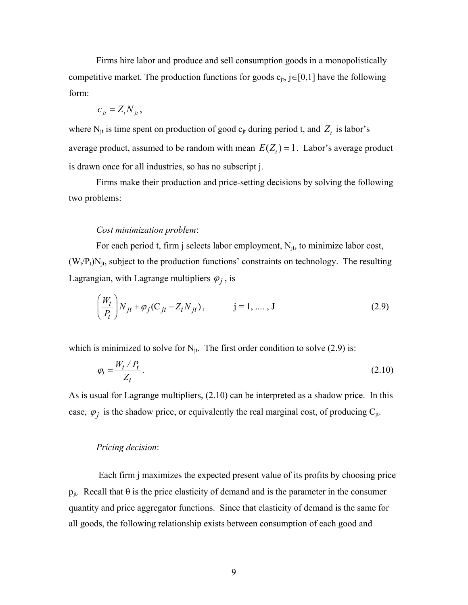Firms hire labor and produce and sell consumption goods in a monopolistically competitive market. The production functions for goods  $c_{jt}$ , j∈[0,1] have the following form:

$$
c_{it} = Z_t N_{it},
$$

where  $N_{jt}$  is time spent on production of good  $c_{jt}$  during period t, and  $Z_t$  is labor's average product, assumed to be random with mean  $E(Z_t) = 1$ . Labor's average product is drawn once for all industries, so has no subscript j.

Firms make their production and price-setting decisions by solving the following two problems:

#### *Cost minimization problem*:

For each period t, firm j selects labor employment,  $N_{jt}$ , to minimize labor cost,  $(W_t/P_t)N_{\text{it}}$ , subject to the production functions' constraints on technology. The resulting Lagrangian, with Lagrange multipliers  $\varphi_j$ , is

$$
\left(\frac{W_t}{P_t}\right)N_{jt} + \varphi_j(C_{jt} - Z_tN_{jt}), \qquad j = 1, \dots, J
$$
\n(2.9)

which is minimized to solve for  $N_{it}$ . The first order condition to solve (2.9) is:

$$
\varphi_t = \frac{W_t / P_t}{Z_t} \,. \tag{2.10}
$$

As is usual for Lagrange multipliers, (2.10) can be interpreted as a shadow price. In this case,  $\varphi_j$  is the shadow price, or equivalently the real marginal cost, of producing  $C_{jt}$ .

# *Pricing decision*:

 Each firm j maximizes the expected present value of its profits by choosing price  $p_{it}$ . Recall that  $\theta$  is the price elasticity of demand and is the parameter in the consumer quantity and price aggregator functions. Since that elasticity of demand is the same for all goods, the following relationship exists between consumption of each good and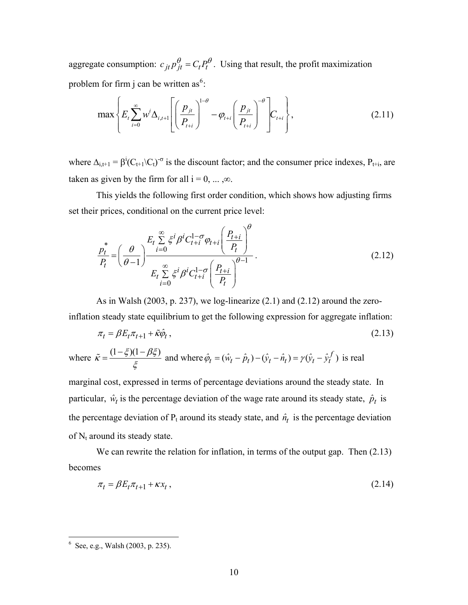aggregate consumption:  $c_{jt} p_{jt}^{\theta} = C_t P_t^{\theta}$ . Using that result, the profit maximization problem for firm j can be written as<sup>6</sup>:

$$
\max \left\{ E_{t} \sum_{i=0}^{\infty} w^{i} \Delta_{i,t+1} \left[ \left( \frac{p_{it}}{P_{t+i}} \right)^{1-\theta} - \varphi_{t+i} \left( \frac{p_{it}}{P_{t+i}} \right)^{-\theta} \right] C_{t+i} \right\},
$$
\n(2.11)

where  $\Delta_{i,t+1} = \beta^{i}(C_{t+1}\setminus C_t)^{-\sigma}$  is the discount factor; and the consumer price indexes,  $P_{t+i}$ , are taken as given by the firm for all  $i = 0, \dots, \infty$ .

 This yields the following first order condition, which shows how adjusting firms set their prices, conditional on the current price level:

$$
\frac{p_t^*}{P_t} = \left(\frac{\theta}{\theta - 1}\right) \frac{E_t \sum_{i=0}^{\infty} \xi^i \beta^i C_{t+i}^{1 - \sigma} \varphi_{t+i} \left(\frac{P_{t+i}}{P_t}\right)^{\theta}}{E_t \sum_{i=0}^{\infty} \xi^i \beta^i C_{t+i}^{1 - \sigma} \left(\frac{P_{t+i}}{P_t}\right)^{\theta - 1}}.
$$
\n(2.12)

As in Walsh (2003, p. 237), we log-linearize (2.1) and (2.12) around the zeroinflation steady state equilibrium to get the following expression for aggregate inflation:

$$
\pi_t = \beta E_t \pi_{t+1} + \tilde{\kappa} \hat{\varphi}_t \,, \tag{2.13}
$$

where 
$$
\tilde{\kappa} = \frac{(1-\xi)(1-\beta\xi)}{\xi}
$$
 and where  $\hat{\varphi}_t = (\hat{w}_t - \hat{p}_t) - (\hat{y}_t - \hat{n}_t) = \gamma(\hat{y}_t - \hat{y}_t^f)$  is real

marginal cost, expressed in terms of percentage deviations around the steady state. In particular,  $\hat{w}_t$  is the percentage deviation of the wage rate around its steady state,  $\hat{p}_t$  is the percentage deviation of  $P_t$  around its steady state, and  $\hat{n}_t$  is the percentage deviation of  $N_t$  around its steady state.

We can rewrite the relation for inflation, in terms of the output gap. Then  $(2.13)$ becomes

$$
\pi_t = \beta E_t \pi_{t+1} + \kappa x_t \,,\tag{2.14}
$$

 6 See, e.g., Walsh (2003, p. 235).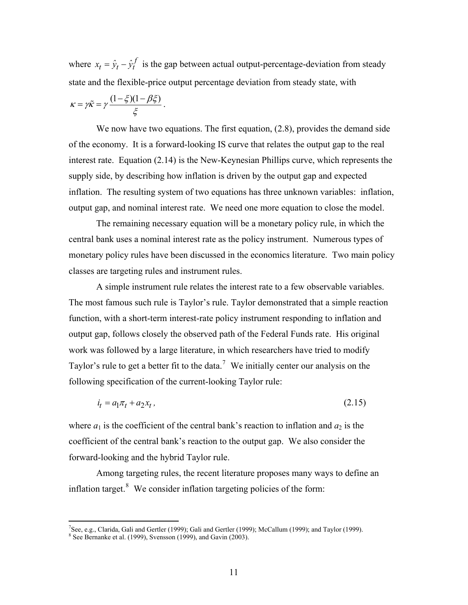where  $x_t = \hat{y}_t - \hat{y}_t^f$  is the gap between actual output-percentage-deviation from steady state and the flexible-price output percentage deviation from steady state, with

$$
\kappa = \gamma \tilde{\kappa} = \gamma \frac{(1-\xi)(1-\beta \xi)}{\xi}.
$$

We now have two equations. The first equation,  $(2.8)$ , provides the demand side of the economy. It is a forward-looking IS curve that relates the output gap to the real interest rate. Equation (2.14) is the New-Keynesian Phillips curve, which represents the supply side, by describing how inflation is driven by the output gap and expected inflation. The resulting system of two equations has three unknown variables: inflation, output gap, and nominal interest rate. We need one more equation to close the model.

 The remaining necessary equation will be a monetary policy rule, in which the central bank uses a nominal interest rate as the policy instrument. Numerous types of monetary policy rules have been discussed in the economics literature. Two main policy classes are targeting rules and instrument rules.

A simple instrument rule relates the interest rate to a few observable variables. The most famous such rule is Taylor's rule. Taylor demonstrated that a simple reaction function, with a short-term interest-rate policy instrument responding to inflation and output gap, follows closely the observed path of the Federal Funds rate. His original work was followed by a large literature, in which researchers have tried to modify Taylor's rule to get a better fit to the data.<sup>7</sup> We initially center our analysis on the following specification of the current-looking Taylor rule:

$$
i_t = a_1 \pi_t + a_2 x_t, \tag{2.15}
$$

where  $a_1$  is the coefficient of the central bank's reaction to inflation and  $a_2$  is the coefficient of the central bank's reaction to the output gap. We also consider the forward-looking and the hybrid Taylor rule.

Among targeting rules, the recent literature proposes many ways to define an inflation target.<sup>8</sup> We consider inflation targeting policies of the form:

<sup>&</sup>lt;sup>7</sup>See, e.g., Clarida, Gali and Gertler (1999); Gali and Gertler (1999); McCallum (1999); and Taylor (1999).<br><sup>8</sup> See Bernanke et al. (1999), Svensson (1999), and Gavin (2003).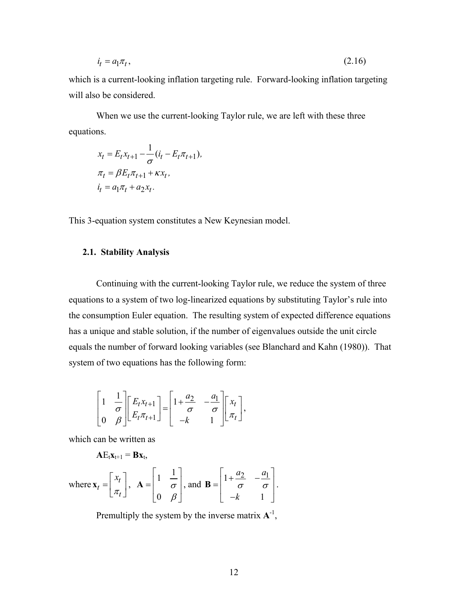$$
i_t = a_1 \pi_t, \tag{2.16}
$$

which is a current-looking inflation targeting rule. Forward-looking inflation targeting will also be considered.

 When we use the current-looking Taylor rule, we are left with these three equations.

$$
x_{t} = E_{t}x_{t+1} - \frac{1}{\sigma}(i_{t} - E_{t}\pi_{t+1}),
$$
  
\n
$$
\pi_{t} = \beta E_{t}\pi_{t+1} + \kappa x_{t},
$$
  
\n
$$
i_{t} = a_{1}\pi_{t} + a_{2}x_{t}.
$$

This 3-equation system constitutes a New Keynesian model.

# **2.1. Stability Analysis**

Continuing with the current-looking Taylor rule, we reduce the system of three equations to a system of two log-linearized equations by substituting Taylor's rule into the consumption Euler equation. The resulting system of expected difference equations has a unique and stable solution, if the number of eigenvalues outside the unit circle equals the number of forward looking variables (see Blanchard and Kahn (1980)). That system of two equations has the following form:

$$
\begin{bmatrix} 1 & \frac{1}{\sigma} \\ 0 & \beta \end{bmatrix} \begin{bmatrix} E_t x_{t+1} \\ E_t \pi_{t+1} \end{bmatrix} = \begin{bmatrix} 1 + \frac{a_2}{\sigma} & -\frac{a_1}{\sigma} \\ -k & 1 \end{bmatrix} \begin{bmatrix} x_t \\ \pi_t \end{bmatrix},
$$

which can be written as

$$
\mathbf{A}\mathbf{E}_t\mathbf{x}_{t+1}=\mathbf{B}\mathbf{x}_t,
$$

where 
$$
\mathbf{x}_t = \begin{bmatrix} x_t \\ \pi_t \end{bmatrix}
$$
,  $\mathbf{A} = \begin{bmatrix} 1 & \frac{1}{\sigma} \\ 0 & \beta \end{bmatrix}$ , and  $\mathbf{B} = \begin{bmatrix} 1 + \frac{a_2}{\sigma} & -\frac{a_1}{\sigma} \\ -k & 1 \end{bmatrix}$ .

Premultiply the system by the inverse matrix  $A^{-1}$ ,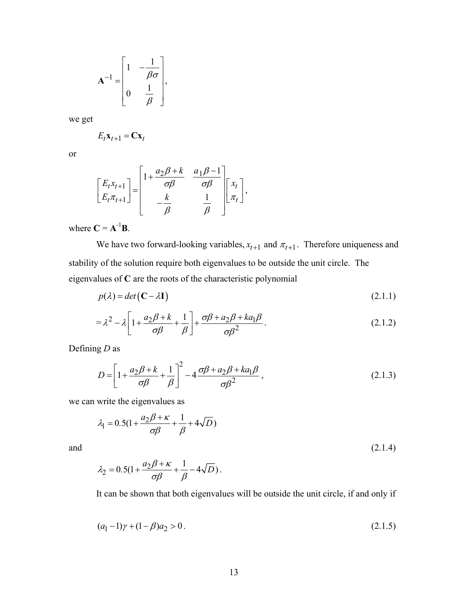$$
\mathbf{A}^{-1} = \begin{bmatrix} 1 & -\frac{1}{\beta \sigma} \\ 0 & \frac{1}{\beta} \end{bmatrix},
$$

we get

$$
E_t \mathbf{x}_{t+1} = \mathbf{C} \mathbf{x}_t
$$

or

$$
\begin{bmatrix} E_t x_{t+1} \\ E_t \pi_{t+1} \end{bmatrix} = \begin{bmatrix} 1 + \frac{a_2 \beta + k}{\sigma \beta} & \frac{a_1 \beta - 1}{\sigma \beta} \\ -\frac{k}{\beta} & \frac{1}{\beta} \end{bmatrix} \begin{bmatrix} x_t \\ \pi_t \end{bmatrix},
$$

where  $\mathbf{C} = \mathbf{A}^{-1} \mathbf{B}$ .

We have two forward-looking variables,  $x_{t+1}$  and  $\pi_{t+1}$ . Therefore uniqueness and stability of the solution require both eigenvalues to be outside the unit circle. The eigenvalues of **C** are the roots of the characteristic polynomial

$$
p(\lambda) = \det(\mathbf{C} - \lambda \mathbf{I})
$$
\n(2.1.1)

$$
= \lambda^2 - \lambda \left[ 1 + \frac{a_2 \beta + k}{\sigma \beta} + \frac{1}{\beta} \right] + \frac{\sigma \beta + a_2 \beta + k a_1 \beta}{\sigma \beta^2}.
$$
 (2.1.2)

Defining *D* as

$$
D = \left[1 + \frac{a_2 \beta + k}{\sigma \beta} + \frac{1}{\beta}\right]^2 - 4 \frac{\sigma \beta + a_2 \beta + k a_1 \beta}{\sigma \beta^2},
$$
\n(2.1.3)

we can write the eigenvalues as

$$
\lambda_1 = 0.5(1 + \frac{a_2 \beta + \kappa}{\sigma \beta} + \frac{1}{\beta} + 4\sqrt{D})
$$

and  $(2.1.4)$ 

$$
\lambda_2 = 0.5(1 + \frac{a_2 \beta + \kappa}{\sigma \beta} + \frac{1}{\beta} - 4\sqrt{D}).
$$

It can be shown that both eigenvalues will be outside the unit circle, if and only if

$$
(a_1 - 1)\gamma + (1 - \beta)a_2 > 0. \tag{2.1.5}
$$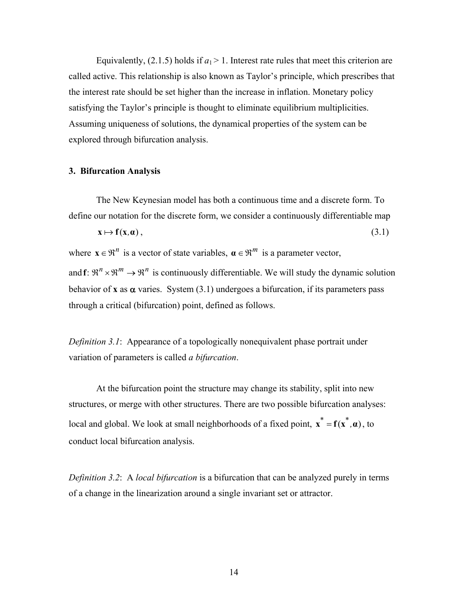Equivalently,  $(2.1.5)$  holds if  $a_1 > 1$ . Interest rate rules that meet this criterion are called active. This relationship is also known as Taylor's principle, which prescribes that the interest rate should be set higher than the increase in inflation. Monetary policy satisfying the Taylor's principle is thought to eliminate equilibrium multiplicities. Assuming uniqueness of solutions, the dynamical properties of the system can be explored through bifurcation analysis.

# **3. Bifurcation Analysis**

The New Keynesian model has both a continuous time and a discrete form. To define our notation for the discrete form, we consider a continuously differentiable map  $\mathbf{x} \mapsto \mathbf{f}(\mathbf{x}, \mathbf{a})$ , (3.1)

where  $\mathbf{x} \in \mathbb{R}^n$  is a vector of state variables,  $\mathbf{\alpha} \in \mathbb{R}^m$  is a parameter vector,

and  $f: \mathbb{R}^n \times \mathbb{R}^m \to \mathbb{R}^n$  is continuously differentiable. We will study the dynamic solution behavior of **x** as  $\alpha$  varies. System (3.1) undergoes a bifurcation, if its parameters pass through a critical (bifurcation) point, defined as follows.

*Definition 3.1*: Appearance of a topologically nonequivalent phase portrait under variation of parameters is called *a bifurcation*.

At the bifurcation point the structure may change its stability, split into new structures, or merge with other structures. There are two possible bifurcation analyses: local and global. We look at small neighborhoods of a fixed point,  $\mathbf{x}^* = \mathbf{f}(\mathbf{x}^*, \boldsymbol{\alpha})$ , to conduct local bifurcation analysis.

*Definition 3.2*: A *local bifurcation* is a bifurcation that can be analyzed purely in terms of a change in the linearization around a single invariant set or attractor.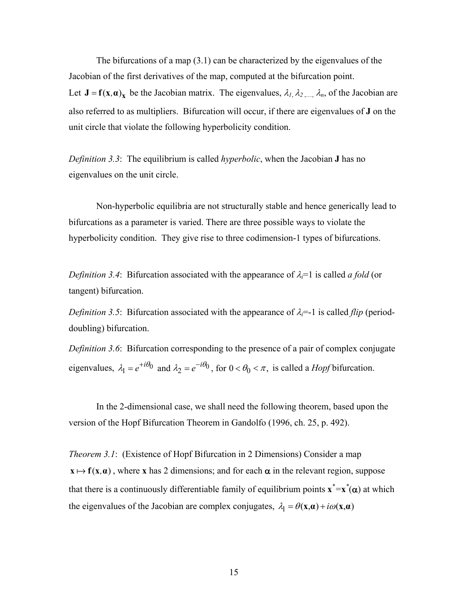The bifurcations of a map (3.1) can be characterized by the eigenvalues of the Jacobian of the first derivatives of the map, computed at the bifurcation point. Let  $J = f(x, \alpha)_x$  be the Jacobian matrix. The eigenvalues,  $\lambda_1, \lambda_2, ..., \lambda_n$ , of the Jacobian are also referred to as multipliers. Bifurcation will occur, if there are eigenvalues of **J** on the unit circle that violate the following hyperbolicity condition.

*Definition 3.3*: The equilibrium is called *hyperbolic*, when the Jacobian **J** has no eigenvalues on the unit circle.

Non-hyperbolic equilibria are not structurally stable and hence generically lead to bifurcations as a parameter is varied. There are three possible ways to violate the hyperbolicity condition. They give rise to three codimension-1 types of bifurcations.

*Definition 3.4*: Bifurcation associated with the appearance of  $\lambda_i = 1$  is called *a fold* (or tangent) bifurcation.

*Definition 3.5*: Bifurcation associated with the appearance of  $\lambda_i = 1$  is called *flip* (perioddoubling) bifurcation.

*Definition 3.6*: Bifurcation corresponding to the presence of a pair of complex conjugate eigenvalues,  $\lambda_1 = e^{+i\theta_0}$  and  $\lambda_2 = e^{-i\theta_0}$ , for  $0 < \theta_0 < \pi$ , is called a *Hopf* bifurcation.

 In the 2-dimensional case, we shall need the following theorem, based upon the version of the Hopf Bifurcation Theorem in Gandolfo (1996, ch. 25, p. 492).

 $\mathbf{x} \mapsto \mathbf{f}(\mathbf{x}, \mathbf{a})$ , where **x** has 2 dimensions; and for each  $\mathbf{\alpha}$  in the relevant region, suppose *Theorem 3.1*: (Existence of Hopf Bifurcation in 2 Dimensions) Consider a map that there is a continuously differentiable family of equilibrium points  $\mathbf{x}^* = \mathbf{x}^*(\alpha)$  at which the eigenvalues of the Jacobian are complex conjugates,  $\lambda_1 = \theta(\mathbf{x}, \mathbf{a}) + i\omega(\mathbf{x}, \mathbf{a})$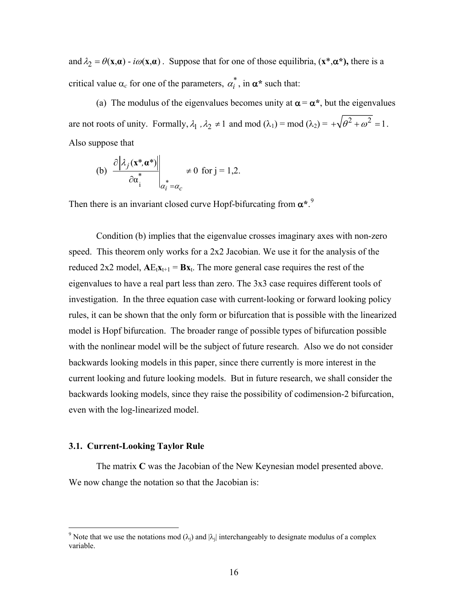and  $\lambda_2 = \theta(\mathbf{x}, \mathbf{a}) - i\omega(\mathbf{x}, \mathbf{a})$ . Suppose that for one of those equilibria,  $(\mathbf{x}^*, \mathbf{a}^*)$ , there is a critical value  $\alpha_c$  for one of the parameters,  $\alpha_i^*$ , in  $\alpha^*$  such that:

(a) The modulus of the eigenvalues becomes unity at  $\alpha = \alpha^*$ , but the eigenvalues are not roots of unity. Formally,  $\lambda_1$ ,  $\lambda_2 \neq 1$  and mod  $(\lambda_1) = \text{mod } (\lambda_2) = +\sqrt{\theta^2 + \omega^2} = 1$ . Also suppose that

(b) 
$$
\frac{\partial |\lambda_j(\mathbf{x}^*, \boldsymbol{\alpha}^*)|}{\partial \alpha_i^*} \bigg|_{\alpha_i^* = \alpha_c} \neq 0 \text{ for } j = 1, 2.
$$

Then there is an invariant closed curve Hopf-bifurcating from  $\alpha^*$ .<sup>9</sup>

 Condition (b) implies that the eigenvalue crosses imaginary axes with non-zero speed. This theorem only works for a 2x2 Jacobian. We use it for the analysis of the reduced 2x2 model,  $AE$ <sub>t</sub> $x$ <sub>t+1</sub> =  $Bx$ <sub>t</sub>. The more general case requires the rest of the eigenvalues to have a real part less than zero. The 3x3 case requires different tools of investigation. In the three equation case with current-looking or forward looking policy rules, it can be shown that the only form or bifurcation that is possible with the linearized model is Hopf bifurcation. The broader range of possible types of bifurcation possible with the nonlinear model will be the subject of future research. Also we do not consider backwards looking models in this paper, since there currently is more interest in the current looking and future looking models. But in future research, we shall consider the backwards looking models, since they raise the possibility of codimension-2 bifurcation, even with the log-linearized model.

## **3.1. Current-Looking Taylor Rule**

The matrix **C** was the Jacobian of the New Keynesian model presented above. We now change the notation so that the Jacobian is:

<sup>&</sup>lt;sup>9</sup> Note that we use the notations mod  $(\lambda_j)$  and  $|\lambda_j|$  interchangeably to designate modulus of a complex variable.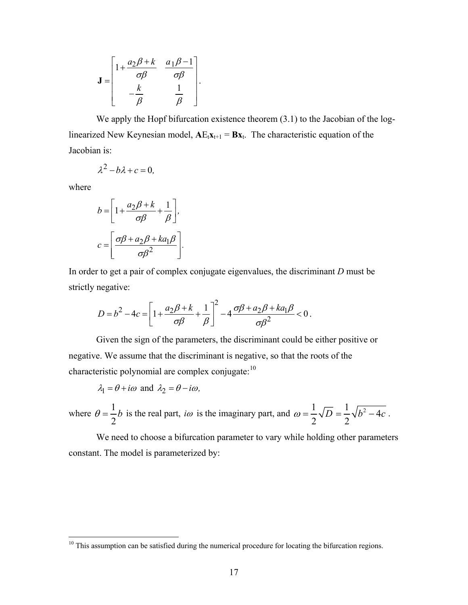$$
\mathbf{J} = \begin{bmatrix} 1 + \frac{a_2 \beta + k}{\sigma \beta} & \frac{a_1 \beta - 1}{\sigma \beta} \\ -\frac{k}{\beta} & \frac{1}{\beta} \end{bmatrix}.
$$

We apply the Hopf bifurcation existence theorem  $(3.1)$  to the Jacobian of the loglinearized New Keynesian model,  $AE$ <sub>t</sub> $\mathbf{x}_{t+1} = \mathbf{B}\mathbf{x}_t$ . The characteristic equation of the Jacobian is:

$$
\lambda^2 - b\lambda + c = 0,
$$

where

 $\overline{a}$ 

$$
b = \left[1 + \frac{a_2 \beta + k}{\sigma \beta} + \frac{1}{\beta}\right],
$$
  

$$
c = \left[\frac{\sigma \beta + a_2 \beta + ka_1 \beta}{\sigma \beta^2}\right].
$$

In order to get a pair of complex conjugate eigenvalues, the discriminant *D* must be strictly negative:

$$
D = b^2 - 4c = \left[1 + \frac{a_2\beta + k}{\sigma\beta} + \frac{1}{\beta}\right]^2 - 4\frac{\sigma\beta + a_2\beta + ka_1\beta}{\sigma\beta^2} < 0.
$$

Given the sign of the parameters, the discriminant could be either positive or negative. We assume that the discriminant is negative, so that the roots of the characteristic polynomial are complex conjugate: $10$ 

$$
\lambda_1 = \theta + i\omega
$$
 and  $\lambda_2 = \theta - i\omega$ ,

where 
$$
\theta = \frac{1}{2}b
$$
 is the real part,  $i\omega$  is the imaginary part, and  $\omega = \frac{1}{2}\sqrt{D} = \frac{1}{2}\sqrt{b^2 - 4c}$ .

We need to choose a bifurcation parameter to vary while holding other parameters constant. The model is parameterized by:

 $10$  This assumption can be satisfied during the numerical procedure for locating the bifurcation regions.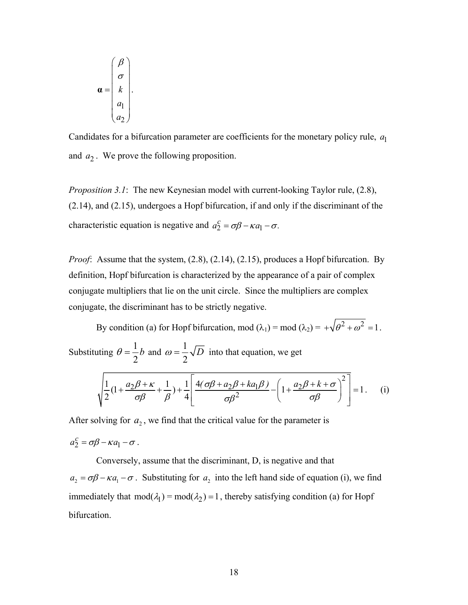$$
\mathbf{\alpha} = \begin{pmatrix} \beta \\ \sigma \\ k \\ a_1 \\ a_2 \end{pmatrix}.
$$

Candidates for a bifurcation parameter are coefficients for the monetary policy rule, 1 *a* and  $a_2$ . We prove the following proposition.

*Proposition 3.1*: The new Keynesian model with current-looking Taylor rule, (2.8), (2.14), and (2.15), undergoes a Hopf bifurcation, if and only if the discriminant of the characteristic equation is negative and  $a_2^c = \sigma \beta - \kappa a_1 - \sigma$ .  $a_2^c = \sigma \beta - \kappa a_1 - \sigma$ 

*Proof*: Assume that the system,  $(2.8)$ ,  $(2.14)$ ,  $(2.15)$ , produces a Hopf bifurcation. By definition, Hopf bifurcation is characterized by the appearance of a pair of complex conjugate multipliers that lie on the unit circle. Since the multipliers are complex conjugate, the discriminant has to be strictly negative.

By condition (a) for Hopf bifurcation, mod  $(\lambda_1)$  = mod  $(\lambda_2)$  =  $+\sqrt{\theta^2 + \omega^2}$  = 1. Substituting  $\theta = \frac{1}{2}$  $\theta = \frac{1}{2}b$  and  $\omega = \frac{1}{2}$  $\omega = \frac{1}{2} \sqrt{D}$  into that equation, we get

$$
\sqrt{\frac{1}{2}\left(1+\frac{a_2\beta+\kappa}{\sigma\beta}+\frac{1}{\beta}\right)+\frac{1}{4}\left[\frac{4(\sigma\beta+a_2\beta+k a_1\beta)}{\sigma\beta^2}-\left(1+\frac{a_2\beta+k+\sigma}{\sigma\beta}\right)^2\right]}=1.
$$
 (i)

After solving for  $a_2$ , we find that the critical value for the parameter is

2

$$
a_2^c = \sigma \beta - \kappa a_1 - \sigma.
$$

2

Conversely, assume that the discriminant, D, is negative and that  $a_2 = \sigma \beta - \kappa a_1 - \sigma$ . Substituting for  $a_2$  into the left hand side of equation (i), we find immediately that  $mod(\lambda_1) = mod(\lambda_2) = 1$ , thereby satisfying condition (a) for Hopf bifurcation.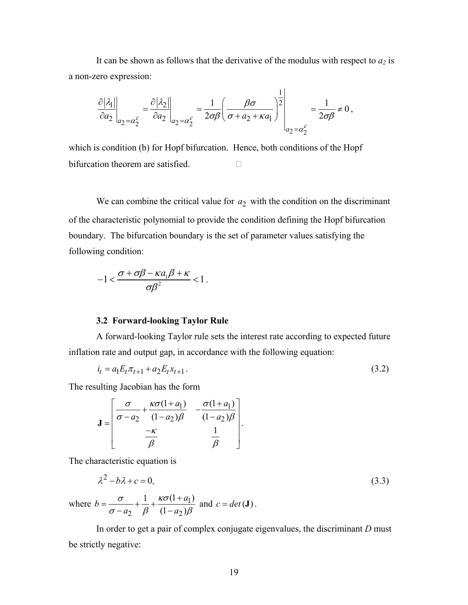It can be shown as follows that the derivative of the modulus with respect to  $a_2$  is a non-zero expression:

$$
\left.\frac{\partial |\lambda_1|}{\partial a_2}\right|_{a_2=a_2^c} = \left.\frac{\partial |\lambda_2|}{\partial a_2}\right|_{a_2=a_2^c} = \frac{1}{2\sigma\beta}\left(\frac{\beta\sigma}{\sigma+a_2+\kappa a_1}\right)^{\frac{1}{2}}\right|_{a_2=\alpha_2^c} = \frac{1}{2\sigma\beta}\neq 0\,,
$$

which is condition (b) for Hopf bifurcation. Hence, both conditions of the Hopf bifurcation theorem are satisfied.

We can combine the critical value for  $a_2$  with the condition on the discriminant of the characteristic polynomial to provide the condition defining the Hopf bifurcation boundary. The bifurcation boundary is the set of parameter values satisfying the following condition:

$$
-1 < \frac{\sigma + \sigma\beta - \kappa a_1\beta + \kappa}{\sigma\beta^2} < 1.
$$

# **3.2 Forward-looking Taylor Rule**

A forward-looking Taylor rule sets the interest rate according to expected future inflation rate and output gap, in accordance with the following equation:

$$
i_t = a_1 E_t \pi_{t+1} + a_2 E_t x_{t+1} \,. \tag{3.2}
$$

The resulting Jacobian has the form

$$
\mathbf{J} = \begin{bmatrix} \frac{\sigma}{\sigma - a_2} + \frac{\kappa \sigma (1 + a_1)}{(1 - a_2)\beta} & -\frac{\sigma (1 + a_1)}{(1 - a_2)\beta} \\ \frac{-\kappa}{\beta} & \frac{1}{\beta} \end{bmatrix}.
$$

The characteristic equation is

$$
\lambda^2 - b\lambda + c = 0,
$$
  
(3.3)  
where  $b = \frac{\sigma}{\sigma - a_2} + \frac{1}{\beta} + \frac{\kappa \sigma (1 + a_1)}{(1 - a_2)\beta}$  and  $c = det(\mathbf{J})$ .

 In order to get a pair of complex conjugate eigenvalues, the discriminant *D* must be strictly negative: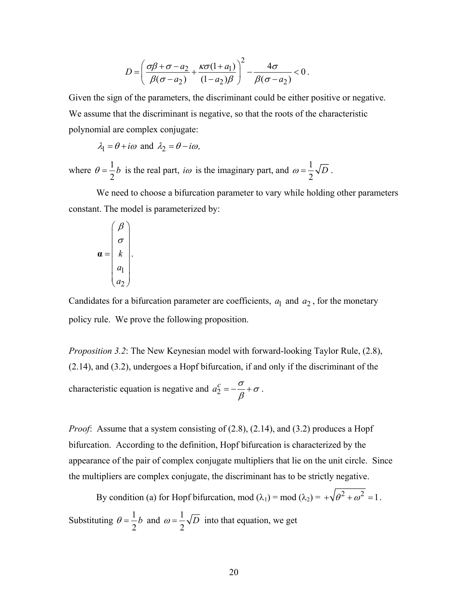$$
D = \left(\frac{\sigma\beta + \sigma - a_2}{\beta(\sigma - a_2)} + \frac{\kappa\sigma(1 + a_1)}{(1 - a_2)\beta}\right)^2 - \frac{4\sigma}{\beta(\sigma - a_2)} < 0.
$$

Given the sign of the parameters, the discriminant could be either positive or negative. We assume that the discriminant is negative, so that the roots of the characteristic polynomial are complex conjugate:

$$
\lambda_1 = \theta + i\omega
$$
 and  $\lambda_2 = \theta - i\omega$ ,

where  $\theta = \frac{1}{2}$ 2  $\theta = \frac{1}{2}b$  is the real part, *i* $\omega$  is the imaginary part, and  $\omega = \frac{1}{2}$ 2  $\omega = \frac{1}{2} \sqrt{D}$ .

We need to choose a bifurcation parameter to vary while holding other parameters constant. The model is parameterized by:

$$
\mathbf{a} = \begin{pmatrix} \beta \\ \sigma \\ k \\ a_1 \\ a_2 \end{pmatrix}.
$$

Candidates for a bifurcation parameter are coefficients,  $a_1$  and  $a_2$ , for the monetary policy rule. We prove the following proposition.

*Proposition 3.2*: The New Keynesian model with forward-looking Taylor Rule, (2.8), (2.14), and (3.2), undergoes a Hopf bifurcation, if and only if the discriminant of the characteristic equation is negative and  $a_2^c$  $a_2^c = -\frac{\sigma}{\beta} + \sigma$  $=-\frac{6}{3}+\sigma$ .

*Proof*: Assume that a system consisting of (2.8), (2.14), and (3.2) produces a Hopf bifurcation. According to the definition, Hopf bifurcation is characterized by the appearance of the pair of complex conjugate multipliers that lie on the unit circle. Since the multipliers are complex conjugate, the discriminant has to be strictly negative.

By condition (a) for Hopf bifurcation, mod  $(\lambda_1)$  = mod  $(\lambda_2)$  =  $+\sqrt{\theta^2 + \omega^2}$  = 1. Substituting  $\theta = \frac{1}{2}$ 2  $\theta = \frac{1}{2}b$  and  $\omega = \frac{1}{2}$ 2  $\omega = \frac{1}{2} \sqrt{D}$  into that equation, we get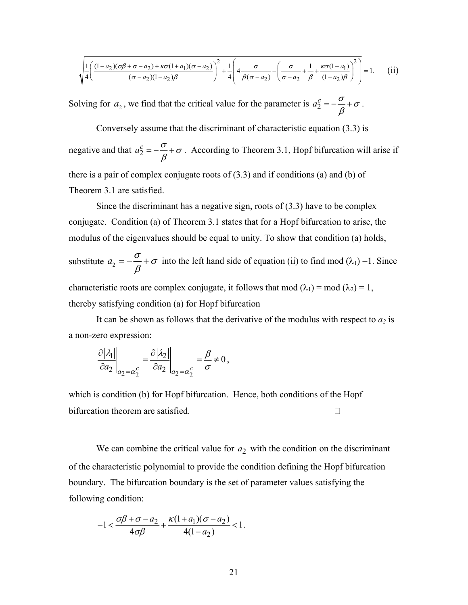$$
\sqrt{\frac{1}{4}\left(\frac{(1-a_2)(\sigma\beta+\sigma-a_2)+\kappa\sigma(1+a_1)(\sigma-a_2)}{(\sigma-a_2)(1-a_2)\beta}\right)^2+\frac{1}{4}\left(4\frac{\sigma}{\beta(\sigma-a_2)}-\left(\frac{\sigma}{\sigma-a_2}+\frac{1}{\beta}+\frac{\kappa\sigma(1+a_1)}{(1-a_2)\beta}\right)^2\right)}=1.
$$
 (ii)

Solving for  $a_2$ , we find that the critical value for the parameter is  $a_2^c = -\frac{\sigma}{\beta} + \sigma$  $=-\frac{6}{3}+\sigma$ .

Conversely assume that the discriminant of characteristic equation (3.3) is negative and that  $a_2^c = -\frac{\sigma}{\beta} + \sigma$  $=-\frac{6}{3}+\sigma$ . According to Theorem 3.1, Hopf bifurcation will arise if there is a pair of complex conjugate roots of (3.3) and if conditions (a) and (b) of Theorem 3.1 are satisfied.

Since the discriminant has a negative sign, roots of  $(3.3)$  have to be complex conjugate. Condition (a) of Theorem 3.1 states that for a Hopf bifurcation to arise, the modulus of the eigenvalues should be equal to unity. To show that condition (a) holds,

substitute  $a_2 = -\frac{\sigma}{\rho}$  $\overline{\beta}^{+\sigma}$  $=-\frac{6}{9} + \sigma$  into the left hand side of equation (ii) to find mod ( $\lambda_1$ ) =1. Since

characteristic roots are complex conjugate, it follows that mod  $(\lambda_1)$  = mod  $(\lambda_2)$  = 1, thereby satisfying condition (a) for Hopf bifurcation

It can be shown as follows that the derivative of the modulus with respect to  $a_2$  is a non-zero expression:

$$
\left. \frac{\partial |\lambda_1|}{\partial a_2} \right|_{a_2 = \alpha_2^c} = \left. \frac{\partial |\lambda_2|}{\partial a_2} \right|_{a_2 = \alpha_2^c} = \frac{\beta}{\sigma} \neq 0,
$$

which is condition (b) for Hopf bifurcation. Hence, both conditions of the Hopf bifurcation theorem are satisfied.

We can combine the critical value for  $a_2$  with the condition on the discriminant of the characteristic polynomial to provide the condition defining the Hopf bifurcation boundary. The bifurcation boundary is the set of parameter values satisfying the following condition:

$$
-1 < \frac{\sigma\beta + \sigma - a_2}{4\sigma\beta} + \frac{\kappa(1+a_1)(\sigma - a_2)}{4(1-a_2)} < 1.
$$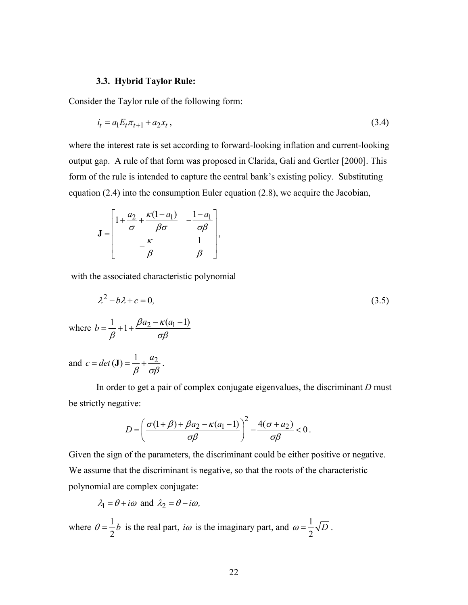### **3.3. Hybrid Taylor Rule:**

Consider the Taylor rule of the following form:

$$
i_t = a_1 E_t \pi_{t+1} + a_2 x_t , \qquad (3.4)
$$

where the interest rate is set according to forward-looking inflation and current-looking output gap. A rule of that form was proposed in Clarida, Gali and Gertler [2000]. This form of the rule is intended to capture the central bank's existing policy. Substituting equation (2.4) into the consumption Euler equation (2.8), we acquire the Jacobian,

$$
\mathbf{J} = \begin{bmatrix} 1 + \frac{a_2}{\sigma} + \frac{\kappa(1 - a_1)}{\beta \sigma} & -\frac{1 - a_1}{\sigma \beta} \\ -\frac{\kappa}{\beta} & \frac{1}{\beta} \end{bmatrix},
$$

with the associated characteristic polynomial

$$
\lambda^2 - b\lambda + c = 0,\tag{3.5}
$$

where 
$$
b = \frac{1}{\beta} + 1 + \frac{\beta a_2 - \kappa (a_1 - 1)}{\sigma \beta}
$$

and  $c = det(\mathbf{J}) = \frac{1}{2} + \frac{a_2}{2}$ β σβ  $= det(\mathbf{J}) = \frac{1}{2} + \frac{u_2}{2}$ .

 In order to get a pair of complex conjugate eigenvalues, the discriminant *D* must be strictly negative:

$$
D = \left(\frac{\sigma(1+\beta) + \beta a_2 - \kappa(a_1-1)}{\sigma \beta}\right)^2 - \frac{4(\sigma + a_2)}{\sigma \beta} < 0.
$$

Given the sign of the parameters, the discriminant could be either positive or negative. We assume that the discriminant is negative, so that the roots of the characteristic polynomial are complex conjugate:

$$
\lambda_1 = \theta + i\omega
$$
 and  $\lambda_2 = \theta - i\omega$ ,

where  $\theta = \frac{1}{2}$ 2  $\theta = \frac{1}{2}b$  is the real part, *i* $\omega$  is the imaginary part, and  $\omega = \frac{1}{2}$ 2  $\omega = \frac{1}{2} \sqrt{D}$ .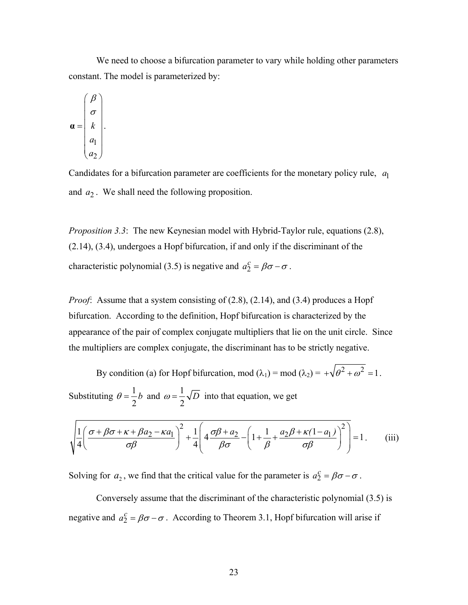We need to choose a bifurcation parameter to vary while holding other parameters constant. The model is parameterized by:

$$
\mathbf{a} = \begin{pmatrix} \beta \\ \sigma \\ k \\ a_1 \\ a_2 \end{pmatrix}.
$$

Candidates for a bifurcation parameter are coefficients for the monetary policy rule, 1 *a* and  $a_2$ . We shall need the following proposition.

*Proposition 3.3*: The new Keynesian model with Hybrid-Taylor rule, equations (2.8), (2.14), (3.4), undergoes a Hopf bifurcation, if and only if the discriminant of the characteristic polynomial (3.5) is negative and  $a_2^c = \beta \sigma - \sigma$ .

*Proof*: Assume that a system consisting of (2.8), (2.14), and (3.4) produces a Hopf bifurcation. According to the definition, Hopf bifurcation is characterized by the appearance of the pair of complex conjugate multipliers that lie on the unit circle. Since the multipliers are complex conjugate, the discriminant has to be strictly negative.

By condition (a) for Hopf bifurcation, mod  $(\lambda_1)$  = mod  $(\lambda_2)$  =  $+\sqrt{\theta^2 + \omega^2}$  = 1. Substituting  $\theta = \frac{1}{2}$ 2  $\theta = \frac{1}{2}b$  and  $\omega = \frac{1}{2}$ 2  $\omega = \frac{1}{2} \sqrt{D}$  into that equation, we get

$$
\sqrt{\frac{1}{4}\left(\frac{\sigma+\beta\sigma+\kappa+\beta a_2-\kappa a_1}{\sigma\beta}\right)^2 + \frac{1}{4}\left(4\frac{\sigma\beta+a_2}{\beta\sigma} - \left(1+\frac{1}{\beta}+\frac{a_2\beta+\kappa(1-a_1)}{\sigma\beta}\right)^2\right)} = 1.
$$
 (iii)

Solving for  $a_2$ , we find that the critical value for the parameter is  $a_2^c = \beta \sigma - \sigma$ .

Conversely assume that the discriminant of the characteristic polynomial (3.5) is negative and  $a_2^c = \beta \sigma - \sigma$ . According to Theorem 3.1, Hopf bifurcation will arise if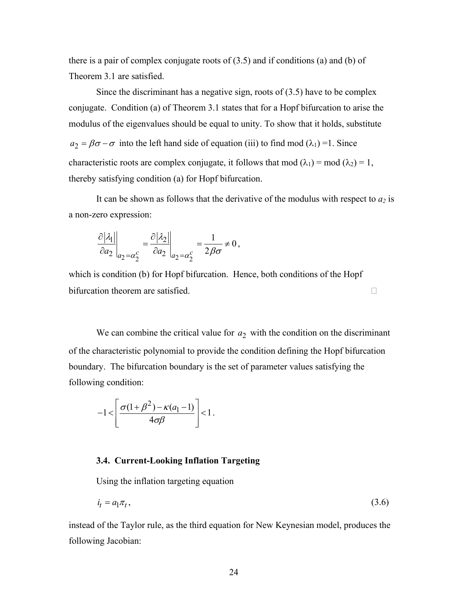there is a pair of complex conjugate roots of (3.5) and if conditions (a) and (b) of Theorem 3.1 are satisfied.

Since the discriminant has a negative sign, roots of  $(3.5)$  have to be complex conjugate. Condition (a) of Theorem 3.1 states that for a Hopf bifurcation to arise the modulus of the eigenvalues should be equal to unity. To show that it holds, substitute  $a_2 = \beta \sigma - \sigma$  into the left hand side of equation (iii) to find mod ( $\lambda_1$ ) =1. Since characteristic roots are complex conjugate, it follows that mod  $(\lambda_1)$  = mod  $(\lambda_2)$  = 1, thereby satisfying condition (a) for Hopf bifurcation.

It can be shown as follows that the derivative of the modulus with respect to  $a_2$  is a non-zero expression:

$$
\left. \frac{\partial |\lambda_1|}{\partial a_2} \right|_{a_2 = \alpha_2^c} = \left. \frac{\partial |\lambda_2|}{\partial a_2} \right|_{a_2 = \alpha_2^c} = \frac{1}{2\beta\sigma} \neq 0,
$$

which is condition (b) for Hopf bifurcation. Hence, both conditions of the Hopf bifurcation theorem are satisfied.

We can combine the critical value for  $a_2$  with the condition on the discriminant of the characteristic polynomial to provide the condition defining the Hopf bifurcation boundary. The bifurcation boundary is the set of parameter values satisfying the following condition:

$$
-1 < \left[ \frac{\sigma(1+\beta^2) - \kappa(a_1-1)}{4\sigma\beta} \right] < 1.
$$

# **3.4. Current-Looking Inflation Targeting**

Using the inflation targeting equation

$$
i_t = a_1 \pi_t,\tag{3.6}
$$

instead of the Taylor rule, as the third equation for New Keynesian model, produces the following Jacobian: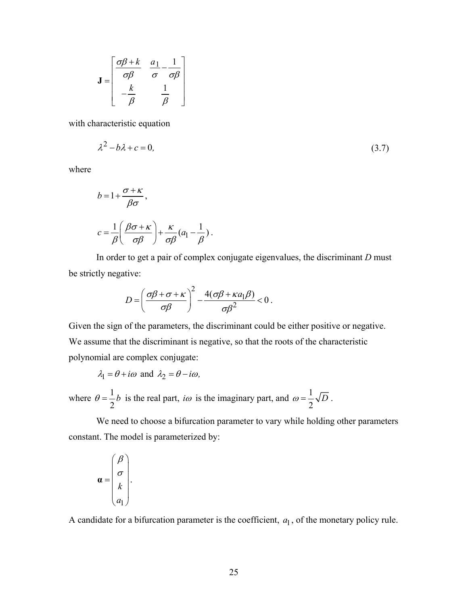$$
\mathbf{J} = \begin{bmatrix} \frac{\sigma \beta + k}{\sigma \beta} & \frac{a_1}{\sigma} - \frac{1}{\sigma \beta} \\ \frac{k}{\beta} & \frac{1}{\beta} \end{bmatrix}
$$

with characteristic equation

$$
\lambda^2 - b\lambda + c = 0,\tag{3.7}
$$

where

$$
b = 1 + \frac{\sigma + \kappa}{\beta \sigma},
$$
  

$$
c = \frac{1}{\beta} \left( \frac{\beta \sigma + \kappa}{\sigma \beta} \right) + \frac{\kappa}{\sigma \beta} (a_1 - \frac{1}{\beta}).
$$

 In order to get a pair of complex conjugate eigenvalues, the discriminant *D* must be strictly negative:

$$
D = \left(\frac{\sigma\beta + \sigma + \kappa}{\sigma\beta}\right)^2 - \frac{4(\sigma\beta + \kappa a_1\beta)}{\sigma\beta^2} < 0.
$$

Given the sign of the parameters, the discriminant could be either positive or negative. We assume that the discriminant is negative, so that the roots of the characteristic polynomial are complex conjugate:

$$
\lambda_1 = \theta + i\omega
$$
 and  $\lambda_2 = \theta - i\omega$ ,

where  $\theta = \frac{1}{2}$ 2  $\theta = \frac{1}{2}b$  is the real part, *i* $\omega$  is the imaginary part, and  $\omega = \frac{1}{2}$ 2  $\omega = \frac{1}{2} \sqrt{D}$ .

We need to choose a bifurcation parameter to vary while holding other parameters constant. The model is parameterized by:

$$
\mathbf{a} = \begin{pmatrix} \beta \\ \sigma \\ k \\ a_1 \end{pmatrix}.
$$

A candidate for a bifurcation parameter is the coefficient,  $a<sub>1</sub>$ , of the monetary policy rule.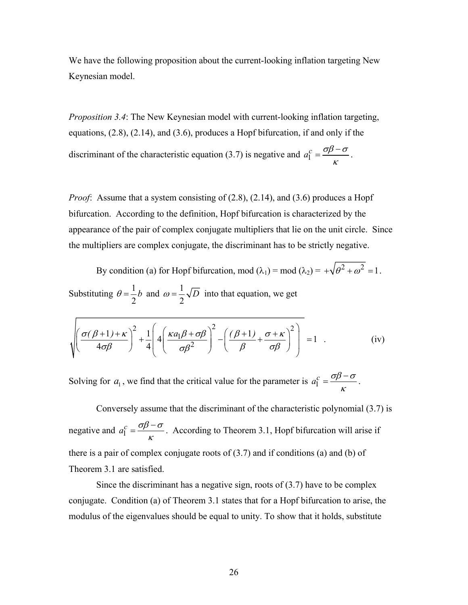We have the following proposition about the current-looking inflation targeting New Keynesian model.

*Proposition 3.4*: The New Keynesian model with current-looking inflation targeting, equations, (2.8), (2.14), and (3.6), produces a Hopf bifurcation, if and only if the discriminant of the characteristic equation (3.7) is negative and  $a_1^c = \frac{\sigma\beta - \sigma}{\sigma}$ κ  $=\frac{\sigma\beta-\sigma}{\sigma}$ .

*Proof*: Assume that a system consisting of (2.8), (2.14), and (3.6) produces a Hopf bifurcation. According to the definition, Hopf bifurcation is characterized by the appearance of the pair of complex conjugate multipliers that lie on the unit circle. Since the multipliers are complex conjugate, the discriminant has to be strictly negative.

By condition (a) for Hopf bifurcation, mod  $(\lambda_1)$  = mod  $(\lambda_2)$  =  $+\sqrt{\theta^2 + \omega^2}$  = 1. Substituting  $\theta = \frac{1}{2}$ 2  $\theta = \frac{1}{2}b$  and  $\omega = \frac{1}{2}$ 2  $\omega = \frac{1}{2} \sqrt{D}$  into that equation, we get

$$
\sqrt{\left(\frac{\sigma(\beta+1)+\kappa}{4\sigma\beta}\right)^2 + \frac{1}{4}\left(4\left(\frac{\kappa a_1\beta+\sigma\beta}{\sigma\beta^2}\right)^2 - \left(\frac{(\beta+1)}{\beta} + \frac{\sigma+\kappa}{\sigma\beta}\right)^2\right)} = 1
$$
 (iv)

Solving for  $a_1$ , we find that the critical value for the parameter is  $a_1^c = \frac{\sigma \beta - \sigma}{\sigma^2}$ κ  $=\frac{\sigma\beta-\sigma}{\sigma}$ .

Conversely assume that the discriminant of the characteristic polynomial (3.7) is negative and  $a_1^c = \frac{\sigma \beta - \sigma}{\gamma}$ κ  $=\frac{\sigma\beta-\sigma}{\beta}$ . According to Theorem 3.1, Hopf bifurcation will arise if there is a pair of complex conjugate roots of (3.7) and if conditions (a) and (b) of Theorem 3.1 are satisfied.

Since the discriminant has a negative sign, roots of  $(3.7)$  have to be complex conjugate. Condition (a) of Theorem 3.1 states that for a Hopf bifurcation to arise, the modulus of the eigenvalues should be equal to unity. To show that it holds, substitute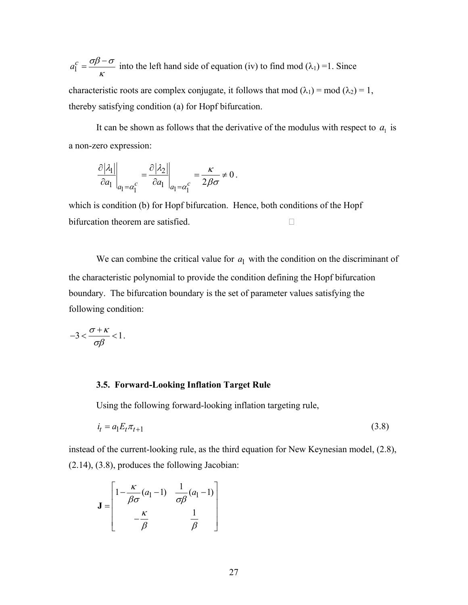1  $a_1^c = \frac{\sigma \beta - \sigma}{\sigma}$ κ  $=\frac{\sigma\beta-\sigma}{\alpha}$  into the left hand side of equation (iv) to find mod ( $\lambda_1$ ) =1. Since characteristic roots are complex conjugate, it follows that mod  $(\lambda_1)$  = mod  $(\lambda_2)$  = 1, thereby satisfying condition (a) for Hopf bifurcation.

It can be shown as follows that the derivative of the modulus with respect to  $a_1$  is a non-zero expression:

$$
\left. \frac{\partial |\lambda_1|}{\partial a_1} \right|_{a_1 = \alpha_1^c} = \left. \frac{\partial |\lambda_2|}{\partial a_1} \right|_{a_1 = \alpha_1^c} = \frac{\kappa}{2\beta\sigma} \neq 0 \, .
$$

which is condition (b) for Hopf bifurcation. Hence, both conditions of the Hopf bifurcation theorem are satisfied.

We can combine the critical value for  $a_1$  with the condition on the discriminant of the characteristic polynomial to provide the condition defining the Hopf bifurcation boundary. The bifurcation boundary is the set of parameter values satisfying the following condition:

$$
-3 < \frac{\sigma + \kappa}{\sigma \beta} < 1.
$$

# **3.5. Forward-Looking Inflation Target Rule**

Using the following forward-looking inflation targeting rule,

$$
i_t = a_1 E_t \pi_{t+1} \tag{3.8}
$$

instead of the current-looking rule, as the third equation for New Keynesian model, (2.8), (2.14), (3.8), produces the following Jacobian:

$$
\mathbf{J} = \begin{bmatrix} 1 - \frac{\kappa}{\beta \sigma} (a_1 - 1) & \frac{1}{\sigma \beta} (a_1 - 1) \\ -\frac{\kappa}{\beta} & \frac{1}{\beta} \end{bmatrix}
$$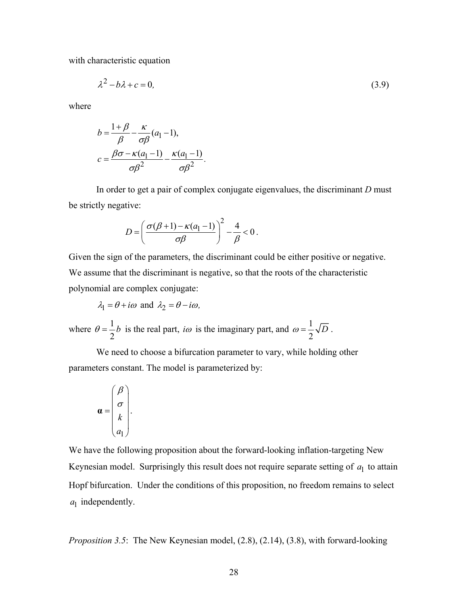with characteristic equation

$$
\lambda^2 - b\lambda + c = 0,\tag{3.9}
$$

where

$$
b = \frac{1+\beta}{\beta} - \frac{\kappa}{\sigma\beta}(a_1 - 1),
$$
  

$$
c = \frac{\beta\sigma - \kappa(a_1 - 1)}{\sigma\beta^2} - \frac{\kappa(a_1 - 1)}{\sigma\beta^2}.
$$

 In order to get a pair of complex conjugate eigenvalues, the discriminant *D* must be strictly negative:

$$
D = \left(\frac{\sigma(\beta+1) - \kappa(a_1-1)}{\sigma\beta}\right)^2 - \frac{4}{\beta} < 0.
$$

Given the sign of the parameters, the discriminant could be either positive or negative. We assume that the discriminant is negative, so that the roots of the characteristic polynomial are complex conjugate:

$$
\lambda_1 = \theta + i\omega
$$
 and  $\lambda_2 = \theta - i\omega$ ,

where  $\theta = \frac{1}{2}$ 2  $\theta = \frac{1}{2}b$  is the real part, *i* $\omega$  is the imaginary part, and  $\omega = \frac{1}{2}$ 2  $\omega = \frac{1}{2} \sqrt{D}$ .

We need to choose a bifurcation parameter to vary, while holding other parameters constant. The model is parameterized by:

$$
\mathbf{a} = \begin{pmatrix} \beta \\ \sigma \\ k \\ a_1 \end{pmatrix}.
$$

We have the following proposition about the forward-looking inflation-targeting New Keynesian model. Surprisingly this result does not require separate setting of  $a<sub>l</sub>$  to attain Hopf bifurcation. Under the conditions of this proposition, no freedom remains to select  $a<sub>l</sub>$  independently.

*Proposition 3.5*: The New Keynesian model, (2.8), (2.14), (3.8), with forward-looking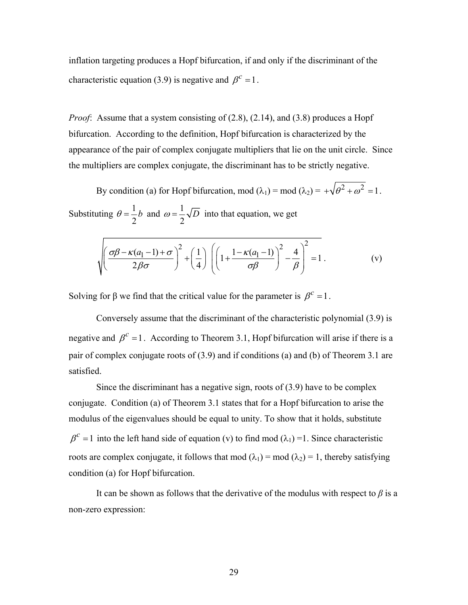inflation targeting produces a Hopf bifurcation, if and only if the discriminant of the characteristic equation (3.9) is negative and  $\beta^c = 1$ .

*Proof*: Assume that a system consisting of (2.8), (2.14), and (3.8) produces a Hopf bifurcation. According to the definition, Hopf bifurcation is characterized by the appearance of the pair of complex conjugate multipliers that lie on the unit circle. Since the multipliers are complex conjugate, the discriminant has to be strictly negative.

By condition (a) for Hopf bifurcation, mod  $(\lambda_1)$  = mod  $(\lambda_2)$  =  $+\sqrt{\theta^2 + \omega^2}$  = 1. Substituting  $\theta = \frac{1}{2}$ 2  $\theta = \frac{1}{2}b$  and  $\omega = \frac{1}{2}$ 2  $\omega = \frac{1}{2} \sqrt{D}$  into that equation, we get

$$
\sqrt{\left(\frac{\sigma\beta - \kappa(a_1 - 1) + \sigma}{2\beta\sigma}\right)^2 + \left(\frac{1}{4}\right)\left(\left(1 + \frac{1 - \kappa(a_1 - 1)}{\sigma\beta}\right)^2 - \frac{4}{\beta}\right)^2} = 1.
$$
 (v)

Solving for  $\beta$  we find that the critical value for the parameter is  $\beta^c = 1$ .

Conversely assume that the discriminant of the characteristic polynomial (3.9) is negative and  $\beta^c = 1$ . According to Theorem 3.1, Hopf bifurcation will arise if there is a pair of complex conjugate roots of (3.9) and if conditions (a) and (b) of Theorem 3.1 are satisfied.

Since the discriminant has a negative sign, roots of (3.9) have to be complex conjugate. Condition (a) of Theorem 3.1 states that for a Hopf bifurcation to arise the modulus of the eigenvalues should be equal to unity. To show that it holds, substitute  $\beta^c = 1$  into the left hand side of equation (v) to find mod ( $\lambda_1$ ) =1. Since characteristic roots are complex conjugate, it follows that mod  $(\lambda_1)$  = mod  $(\lambda_2)$  = 1, thereby satisfying condition (a) for Hopf bifurcation.

 It can be shown as follows that the derivative of the modulus with respect to *β* is a non-zero expression: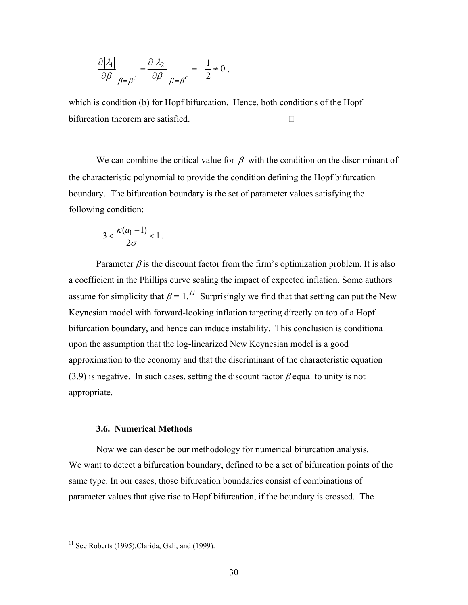$$
\left.\frac{\partial |\lambda_1|}{\partial \beta}\right|_{\beta=\beta^c} = \frac{\partial |\lambda_2|}{\partial \beta}\right|_{\beta=\beta^c} = -\frac{1}{2} \neq 0,
$$

which is condition (b) for Hopf bifurcation. Hence, both conditions of the Hopf **bifurcation theorem are satisfied.** 

We can combine the critical value for  $\beta$  with the condition on the discriminant of the characteristic polynomial to provide the condition defining the Hopf bifurcation boundary. The bifurcation boundary is the set of parameter values satisfying the following condition:

$$
-3 < \frac{\kappa(a_1 - 1)}{2\sigma} < 1.
$$

Parameter  $\beta$  is the discount factor from the firm's optimization problem. It is also a coefficient in the Phillips curve scaling the impact of expected inflation. Some authors assume for simplicity that  $\beta = 1$ .<sup>11</sup> Surprisingly we find that that setting can put the New Keynesian model with forward-looking inflation targeting directly on top of a Hopf bifurcation boundary, and hence can induce instability. This conclusion is conditional upon the assumption that the log-linearized New Keynesian model is a good approximation to the economy and that the discriminant of the characteristic equation (3.9) is negative. In such cases, setting the discount factor  $\beta$  equal to unity is not appropriate.

## **3.6. Numerical Methods**

 Now we can describe our methodology for numerical bifurcation analysis. We want to detect a bifurcation boundary, defined to be a set of bifurcation points of the same type. In our cases, those bifurcation boundaries consist of combinations of parameter values that give rise to Hopf bifurcation, if the boundary is crossed. The

 $\overline{a}$ 

 $11$  See Roberts (1995), Clarida, Gali, and (1999).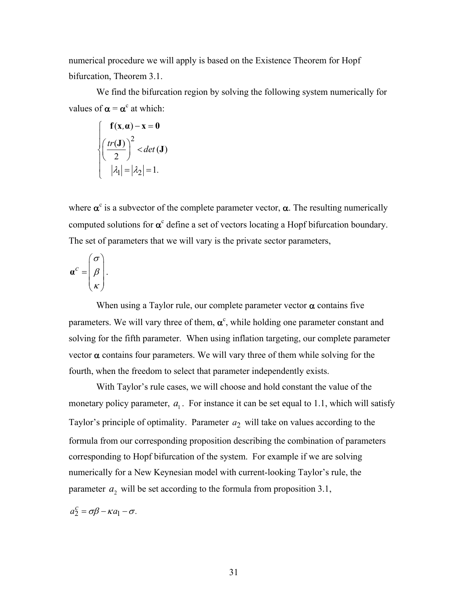numerical procedure we will apply is based on the Existence Theorem for Hopf bifurcation, Theorem 3.1.

We find the bifurcation region by solving the following system numerically for values of  $\alpha = \alpha^c$  at which:

$$
\begin{cases}\nf(\mathbf{x}, \mathbf{a}) - \mathbf{x} = \mathbf{0} \\
\left(\frac{tr(\mathbf{J})}{2}\right)^2 < det(\mathbf{J}) \\
|\lambda_1| = |\lambda_2| = 1.\n\end{cases}
$$

where  $\alpha^c$  is a subvector of the complete parameter vector,  $\alpha$ . The resulting numerically computed solutions for  $\alpha^c$  define a set of vectors locating a Hopf bifurcation boundary. The set of parameters that we will vary is the private sector parameters,

$$
\mathbf{\alpha}^c = \begin{pmatrix} \sigma \\ \beta \\ \kappa \end{pmatrix}.
$$

When using a Taylor rule, our complete parameter vector  $\alpha$  contains five parameters. We will vary three of them,  $\alpha^c$ , while holding one parameter constant and solving for the fifth parameter. When using inflation targeting, our complete parameter vector  $\alpha$  contains four parameters. We will vary three of them while solving for the fourth, when the freedom to select that parameter independently exists.

With Taylor's rule cases, we will choose and hold constant the value of the monetary policy parameter,  $a_1$ . For instance it can be set equal to 1.1, which will satisfy Taylor's principle of optimality. Parameter  $a_2$  will take on values according to the formula from our corresponding proposition describing the combination of parameters corresponding to Hopf bifurcation of the system. For example if we are solving numerically for a New Keynesian model with current-looking Taylor's rule, the parameter  $a_2$  will be set according to the formula from proposition 3.1,

 $2 = op - \kappa u_1$  $a_2^c = \sigma \beta - \kappa a_1 - \sigma$ .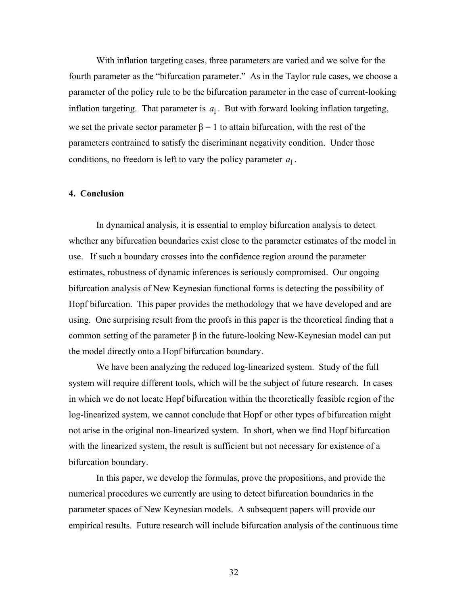With inflation targeting cases, three parameters are varied and we solve for the fourth parameter as the "bifurcation parameter." As in the Taylor rule cases, we choose a parameter of the policy rule to be the bifurcation parameter in the case of current-looking inflation targeting. That parameter is  $a_1$ . But with forward looking inflation targeting, we set the private sector parameter  $\beta = 1$  to attain bifurcation, with the rest of the parameters contrained to satisfy the discriminant negativity condition. Under those conditions, no freedom is left to vary the policy parameter  $a_1$ .

# **4. Conclusion**

In dynamical analysis, it is essential to employ bifurcation analysis to detect whether any bifurcation boundaries exist close to the parameter estimates of the model in use. If such a boundary crosses into the confidence region around the parameter estimates, robustness of dynamic inferences is seriously compromised. Our ongoing bifurcation analysis of New Keynesian functional forms is detecting the possibility of Hopf bifurcation. This paper provides the methodology that we have developed and are using. One surprising result from the proofs in this paper is the theoretical finding that a common setting of the parameter β in the future-looking New-Keynesian model can put the model directly onto a Hopf bifurcation boundary.

We have been analyzing the reduced log-linearized system. Study of the full system will require different tools, which will be the subject of future research. In cases in which we do not locate Hopf bifurcation within the theoretically feasible region of the log-linearized system, we cannot conclude that Hopf or other types of bifurcation might not arise in the original non-linearized system. In short, when we find Hopf bifurcation with the linearized system, the result is sufficient but not necessary for existence of a bifurcation boundary.

In this paper, we develop the formulas, prove the propositions, and provide the numerical procedures we currently are using to detect bifurcation boundaries in the parameter spaces of New Keynesian models. A subsequent papers will provide our empirical results. Future research will include bifurcation analysis of the continuous time

32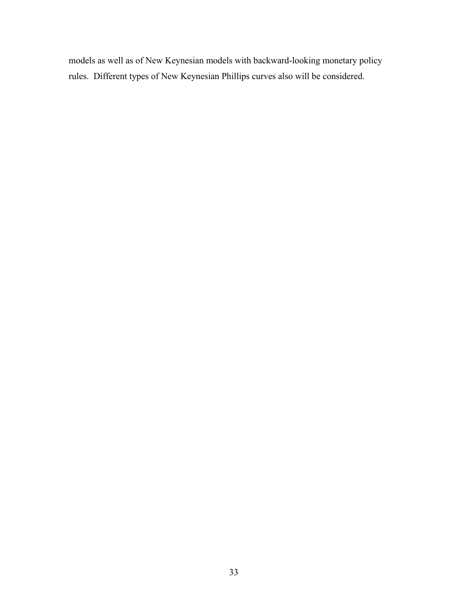models as well as of New Keynesian models with backward-looking monetary policy rules. Different types of New Keynesian Phillips curves also will be considered.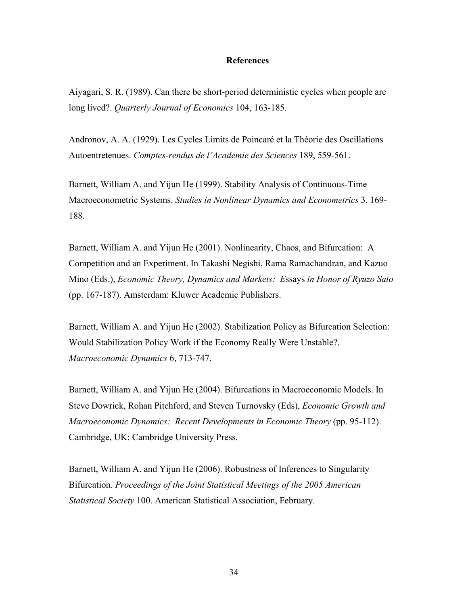# **References**

Aiyagari, S. R. (1989). Can there be short-period deterministic cycles when people are long lived?. *Quarterly Journal of Economics* 104, 163-185.

Andronov, A. A. (1929). Les Cycles Limits de Poincaré et la Théorie des Oscillations Autoentretenues. *Comptes-rendus de l'Academie des Sciences* 189, 559-561.

Barnett, William A. and Yijun He (1999). Stability Analysis of Continuous-Time Macroeconometric Systems. *Studies in Nonlinear Dynamics and Econometrics* 3, 169- 188.

Barnett, William A. and Yijun He (2001). Nonlinearity, Chaos, and Bifurcation: A Competition and an Experiment. In Takashi Negishi, Rama Ramachandran, and Kazuo Mino (Eds.), *Economic Theory, Dynamics and Markets: E*ssays *in Honor of Ryuzo Sato* (pp. 167-187). Amsterdam: Kluwer Academic Publishers.

Barnett, William A. and Yijun He (2002). Stabilization Policy as Bifurcation Selection: Would Stabilization Policy Work if the Economy Really Were Unstable?. *Macroeconomic Dynamics* 6, 713-747.

Barnett, William A. and Yijun He (2004). Bifurcations in Macroeconomic Models. In Steve Dowrick, Rohan Pitchford, and Steven Turnovsky (Eds), *Economic Growth and Macroeconomic Dynamics: Recent Developments in Economic Theory* (pp. 95-112). Cambridge, UK: Cambridge University Press.

Barnett, William A. and Yijun He (2006). Robustness of Inferences to Singularity Bifurcation. *Proceedings of the Joint Statistical Meetings of the 2005 American Statistical Society* 100. American Statistical Association, February.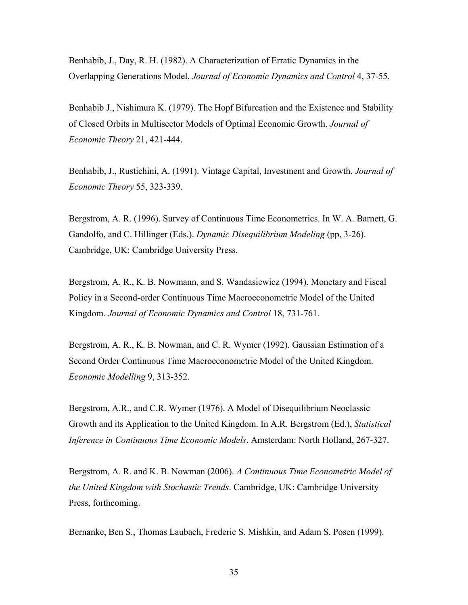Benhabib, J., Day, R. H. (1982). A Characterization of Erratic Dynamics in the Overlapping Generations Model. *Journal of Economic Dynamics and Control* 4, 37-55.

Benhabib J., Nishimura K. (1979). The Hopf Bifurcation and the Existence and Stability of Closed Orbits in Multisector Models of Optimal Economic Growth. *Journal of Economic Theory* 21, 421-444.

Benhabib, J., Rustichini, A. (1991). Vintage Capital, Investment and Growth. *Journal of Economic Theory* 55, 323-339.

Bergstrom, A. R. (1996). Survey of Continuous Time Econometrics. In W. A. Barnett, G. Gandolfo, and C. Hillinger (Eds.). *Dynamic Disequilibrium Modeling* (pp, 3-26). Cambridge, UK: Cambridge University Press.

Bergstrom, A. R., K. B. Nowmann, and S. Wandasiewicz (1994). Monetary and Fiscal Policy in a Second-order Continuous Time Macroeconometric Model of the United Kingdom. *Journal of Economic Dynamics and Control* 18, 731-761.

Bergstrom, A. R., K. B. Nowman, and C. R. Wymer (1992). Gaussian Estimation of a Second Order Continuous Time Macroeconometric Model of the United Kingdom. *Economic Modelling* 9, 313-352.

Bergstrom, A.R., and C.R. Wymer (1976). A Model of Disequilibrium Neoclassic Growth and its Application to the United Kingdom. In A.R. Bergstrom (Ed.), *Statistical Inference in Continuous Time Economic Models*. Amsterdam: North Holland, 267-327.

Bergstrom, A. R. and K. B. Nowman (2006). *A Continuous Time Econometric Model of the United Kingdom with Stochastic Trends*. Cambridge, UK: Cambridge University Press, forthcoming.

Bernanke, Ben S., Thomas Laubach, Frederic S. Mishkin, and Adam S. Posen (1999).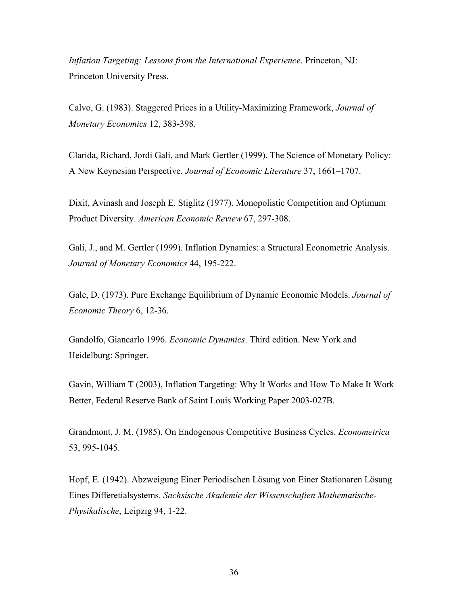*Inflation Targeting: Lessons from the International Experience*. Princeton, NJ: Princeton University Press.

Calvo, G. (1983). Staggered Prices in a Utility-Maximizing Framework, *Journal of Monetary Economics* 12, 383-398.

Clarida, Richard, Jordi Galí, and Mark Gertler (1999). The Science of Monetary Policy: A New Keynesian Perspective. *Journal of Economic Literature* 37, 1661–1707.

Dixit, Avinash and Joseph E. Stiglitz (1977). Monopolistic Competition and Optimum Product Diversity. *American Economic Review* 67, 297-308.

Gali, J., and M. Gertler (1999). Inflation Dynamics: a Structural Econometric Analysis. *Journal of Monetary Economics* 44, 195-222.

Gale, D. (1973). Pure Exchange Equilibrium of Dynamic Economic Models. *Journal of Economic Theory* 6, 12-36.

Gandolfo, Giancarlo 1996. *Economic Dynamics*. Third edition. New York and Heidelburg: Springer.

Gavin, William T (2003), Inflation Targeting: Why It Works and How To Make It Work Better, Federal Reserve Bank of Saint Louis Working Paper 2003-027B.

Grandmont, J. M. (1985). On Endogenous Competitive Business Cycles. *Econometrica* 53, 995-1045.

Hopf, E. (1942). Abzweigung Einer Periodischen Lösung von Einer Stationaren Lösung Eines Differetialsystems. *Sachsische Akademie der Wissenschaften Mathematische-Physikalische*, Leipzig 94, 1-22.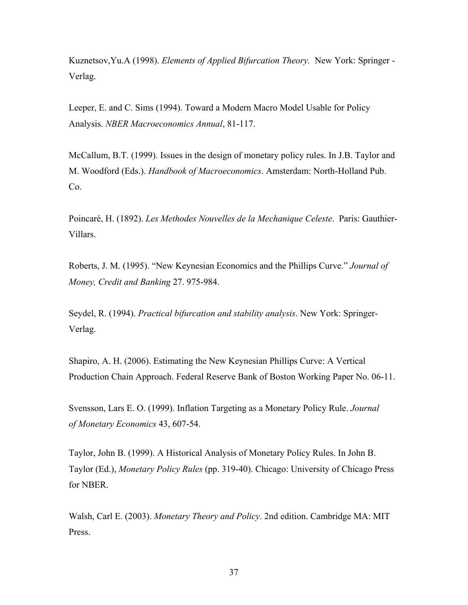Kuznetsov,Yu.A (1998). *Elements of Applied Bifurcation Theory.* New York: Springer - Verlag.

Leeper, E. and C. Sims (1994). Toward a Modern Macro Model Usable for Policy Analysis. *NBER Macroeconomics Annual*, 81-117.

McCallum, B.T. (1999). Issues in the design of monetary policy rules. In J.B. Taylor and M. Woodford (Eds.). *Handbook of Macroeconomics*. Amsterdam: North-Holland Pub. Co.

Poincaré, H. (1892). *Les Methodes Nouvelles de la Mechanique Celeste*. Paris: Gauthier-Villars.

Roberts, J. M. (1995). "New Keynesian Economics and the Phillips Curve." *Journal of Money, Credit and Banking* 27. 975-984.

Seydel, R. (1994). *Practical bifurcation and stability analysis*. New York: Springer-Verlag.

Shapiro, A. H. (2006). Estimating the New Keynesian Phillips Curve: A Vertical Production Chain Approach. Federal Reserve Bank of Boston Working Paper No. 06-11.

Svensson, Lars E. O. (1999). Inflation Targeting as a Monetary Policy Rule. *Journal of Monetary Economics* 43, 607-54.

Taylor, John B. (1999). A Historical Analysis of Monetary Policy Rules. In John B. Taylor (Ed.), *Monetary Policy Rules* (pp. 319-40). Chicago: University of Chicago Press for NBER.

Walsh, Carl E. (2003). *Monetary Theory and Policy*. 2nd edition. Cambridge MA: MIT Press.